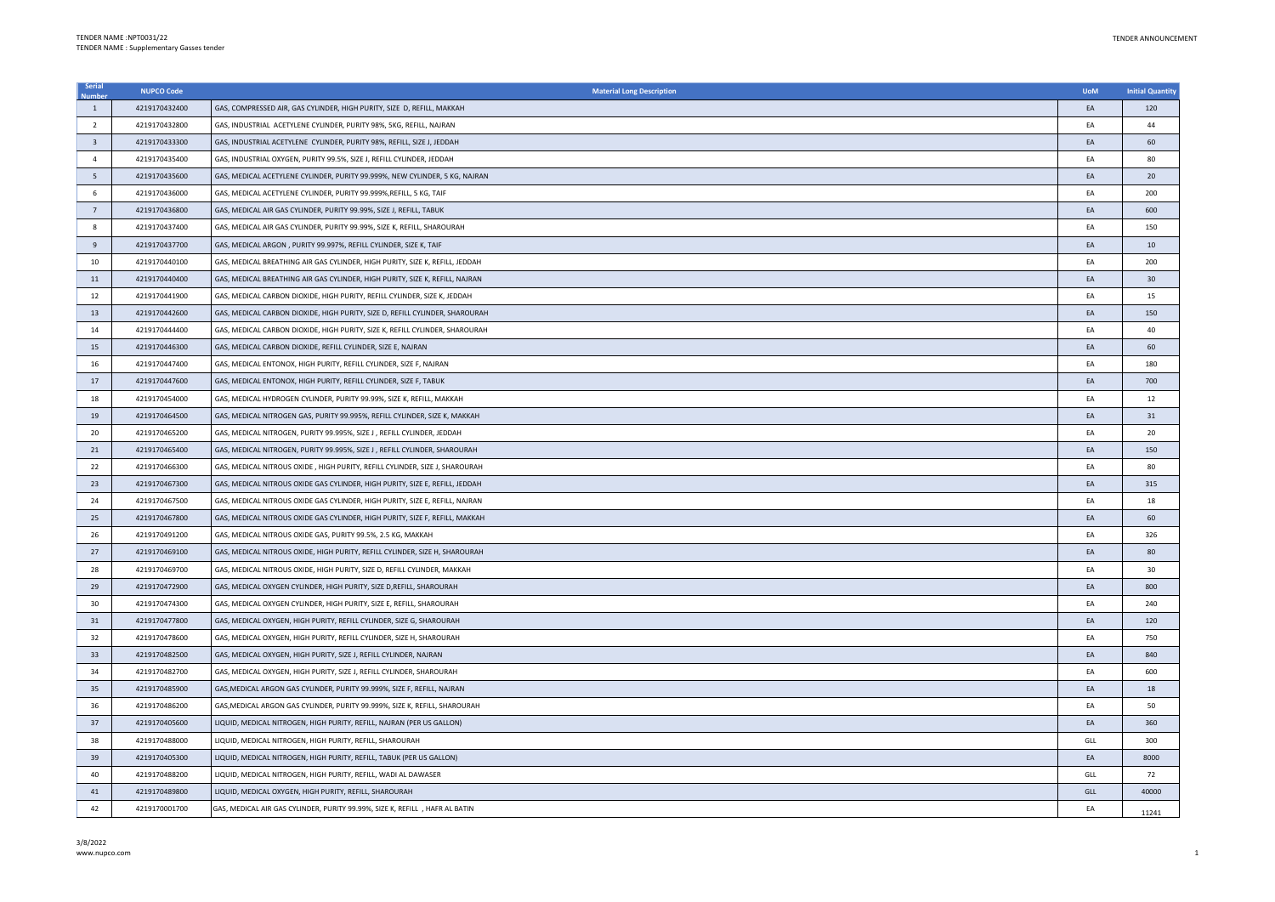| Serial                  | <b>NUPCO Code</b> | <b>Material Long Description</b>                                             | <b>UoM</b> | <b>Initial Quantity</b> |
|-------------------------|-------------------|------------------------------------------------------------------------------|------------|-------------------------|
| $\mathbf{1}$            | 4219170432400     | GAS, COMPRESSED AIR, GAS CYLINDER, HIGH PURITY, SIZE D, REFILL, MAKKAH       | EA         | 120                     |
| $\overline{2}$          | 4219170432800     | GAS, INDUSTRIAL ACETYLENE CYLINDER, PURITY 98%, 5KG, REFILL, NAJRAN          | EA         | 44                      |
| $\overline{\mathbf{3}}$ | 4219170433300     | GAS, INDUSTRIAL ACETYLENE CYLINDER, PURITY 98%, REFILL, SIZE J, JEDDAH       | EA         | 60                      |
| $\overline{4}$          | 4219170435400     | GAS, INDUSTRIAL OXYGEN, PURITY 99.5%, SIZE J, REFILL CYLINDER, JEDDAH        | EA         | 80                      |
| $5\phantom{.0}$         | 4219170435600     | GAS, MEDICAL ACETYLENE CYLINDER, PURITY 99.999%, NEW CYLINDER, 5 KG, NAJRAN  | EA         | 20                      |
| 6                       | 4219170436000     | GAS, MEDICAL ACETYLENE CYLINDER, PURITY 99.999%, REFILL, 5 KG, TAIF          | EA         | 200                     |
| $7\overline{ }$         | 4219170436800     | GAS, MEDICAL AIR GAS CYLINDER, PURITY 99.99%, SIZE J, REFILL, TABUK          | EA         | 600                     |
| 8                       | 4219170437400     | GAS, MEDICAL AIR GAS CYLINDER, PURITY 99.99%, SIZE K, REFILL, SHAROURAH      | EA         | 150                     |
| $\overline{9}$          | 4219170437700     | GAS, MEDICAL ARGON, PURITY 99.997%, REFILL CYLINDER, SIZE K, TAIF            | EA         | 10                      |
| 10                      | 4219170440100     | GAS, MEDICAL BREATHING AIR GAS CYLINDER, HIGH PURITY, SIZE K, REFILL, JEDDAH | EA         | 200                     |
| $11\,$                  | 4219170440400     | GAS, MEDICAL BREATHING AIR GAS CYLINDER, HIGH PURITY, SIZE K, REFILL, NAJRAN | EA         | 30                      |
| 12                      | 4219170441900     | GAS, MEDICAL CARBON DIOXIDE, HIGH PURITY, REFILL CYLINDER, SIZE K, JEDDAH    | EA         | 15                      |
| 13                      | 4219170442600     | GAS, MEDICAL CARBON DIOXIDE, HIGH PURITY, SIZE D, REFILL CYLINDER, SHAROURAH | EA         | 150                     |
| 14                      | 4219170444400     | GAS, MEDICAL CARBON DIOXIDE, HIGH PURITY, SIZE K, REFILL CYLINDER, SHAROURAH | EA         | 40                      |
| 15                      | 4219170446300     | GAS, MEDICAL CARBON DIOXIDE, REFILL CYLINDER, SIZE E, NAJRAN                 | EA         | 60                      |
| 16                      | 4219170447400     | GAS, MEDICAL ENTONOX, HIGH PURITY, REFILL CYLINDER, SIZE F, NAJRAN           | EA         | 180                     |
| 17                      | 4219170447600     | GAS, MEDICAL ENTONOX, HIGH PURITY, REFILL CYLINDER, SIZE F, TABUK            | EA         | 700                     |
| 18                      | 4219170454000     | GAS, MEDICAL HYDROGEN CYLINDER, PURITY 99.99%, SIZE K, REFILL, MAKKAH        | EA         | 12                      |
| 19                      | 4219170464500     | GAS, MEDICAL NITROGEN GAS, PURITY 99.995%, REFILL CYLINDER, SIZE K, MAKKAH   | EA         | 31                      |
| 20                      | 4219170465200     | GAS, MEDICAL NITROGEN, PURITY 99.995%, SIZE J, REFILL CYLINDER, JEDDAH       | EA         | 20                      |
| 21                      | 4219170465400     | GAS, MEDICAL NITROGEN, PURITY 99.995%, SIZE J , REFILL CYLINDER, SHAROURAH   | EA         | 150                     |
| 22                      | 4219170466300     | GAS, MEDICAL NITROUS OXIDE, HIGH PURITY, REFILL CYLINDER, SIZE J, SHAROURAH  | EA         | 80                      |
| 23                      | 4219170467300     | GAS, MEDICAL NITROUS OXIDE GAS CYLINDER, HIGH PURITY, SIZE E, REFILL, JEDDAH | EA         | 315                     |
| 24                      | 4219170467500     | GAS, MEDICAL NITROUS OXIDE GAS CYLINDER, HIGH PURITY, SIZE E, REFILL, NAJRAN | EA         | 18                      |
| 25                      | 4219170467800     | GAS, MEDICAL NITROUS OXIDE GAS CYLINDER, HIGH PURITY, SIZE F, REFILL, MAKKAH | EA         | 60                      |
| 26                      | 4219170491200     | GAS, MEDICAL NITROUS OXIDE GAS, PURITY 99.5%, 2.5 KG, MAKKAH                 | EA         | 326                     |
| 27                      | 4219170469100     | GAS, MEDICAL NITROUS OXIDE, HIGH PURITY, REFILL CYLINDER, SIZE H, SHAROURAH  | EA         | 80                      |
| 28                      | 4219170469700     | GAS, MEDICAL NITROUS OXIDE, HIGH PURITY, SIZE D, REFILL CYLINDER, MAKKAH     | EA         | 30                      |
| 29                      | 4219170472900     | GAS, MEDICAL OXYGEN CYLINDER, HIGH PURITY, SIZE D,REFILL, SHAROURAH          | EA         | 800                     |
| 30                      | 4219170474300     | GAS, MEDICAL OXYGEN CYLINDER, HIGH PURITY, SIZE E, REFILL, SHAROURAH         | EA         | 240                     |
| 31                      | 4219170477800     | GAS, MEDICAL OXYGEN, HIGH PURITY, REFILL CYLINDER, SIZE G, SHAROURAH         | EA         | 120                     |
| 32                      | 4219170478600     | GAS, MEDICAL OXYGEN, HIGH PURITY, REFILL CYLINDER, SIZE H, SHAROURAH         | EA         | 750                     |
| 33                      | 4219170482500     | GAS, MEDICAL OXYGEN, HIGH PURITY, SIZE J, REFILL CYLINDER, NAJRAN            | EA         | 840                     |
| 34                      | 4219170482700     | GAS, MEDICAL OXYGEN, HIGH PURITY, SIZE J, REFILL CYLINDER, SHAROURAH         | EA         | 600                     |
| 35                      | 4219170485900     | GAS, MEDICAL ARGON GAS CYLINDER, PURITY 99.999%, SIZE F, REFILL, NAJRAN      | EA         | 18                      |
| 36                      | 4219170486200     | GAS, MEDICAL ARGON GAS CYLINDER, PURITY 99.999%, SIZE K, REFILL, SHAROURAH   | EA         | 50                      |
| 37                      | 4219170405600     | LIQUID, MEDICAL NITROGEN, HIGH PURITY, REFILL, NAJRAN (PER US GALLON)        | EA         | 360                     |
| 38                      | 4219170488000     | LIQUID, MEDICAL NITROGEN, HIGH PURITY, REFILL, SHAROURAH                     | GLL        | 300                     |
| 39                      | 4219170405300     | LIQUID, MEDICAL NITROGEN, HIGH PURITY, REFILL, TABUK (PER US GALLON)         | EA         | 8000                    |
| 40                      | 4219170488200     | LIQUID, MEDICAL NITROGEN, HIGH PURITY, REFILL, WADI AL DAWASER               | GLL        | 72                      |
| 41                      | 4219170489800     | LIQUID, MEDICAL OXYGEN, HIGH PURITY, REFILL, SHAROURAH                       | GLL        | 40000                   |
| 42                      | 4219170001700     | GAS, MEDICAL AIR GAS CYLINDER, PURITY 99.99%, SIZE K, REFILL , HAFR AL BATIN | EA         | 11241                   |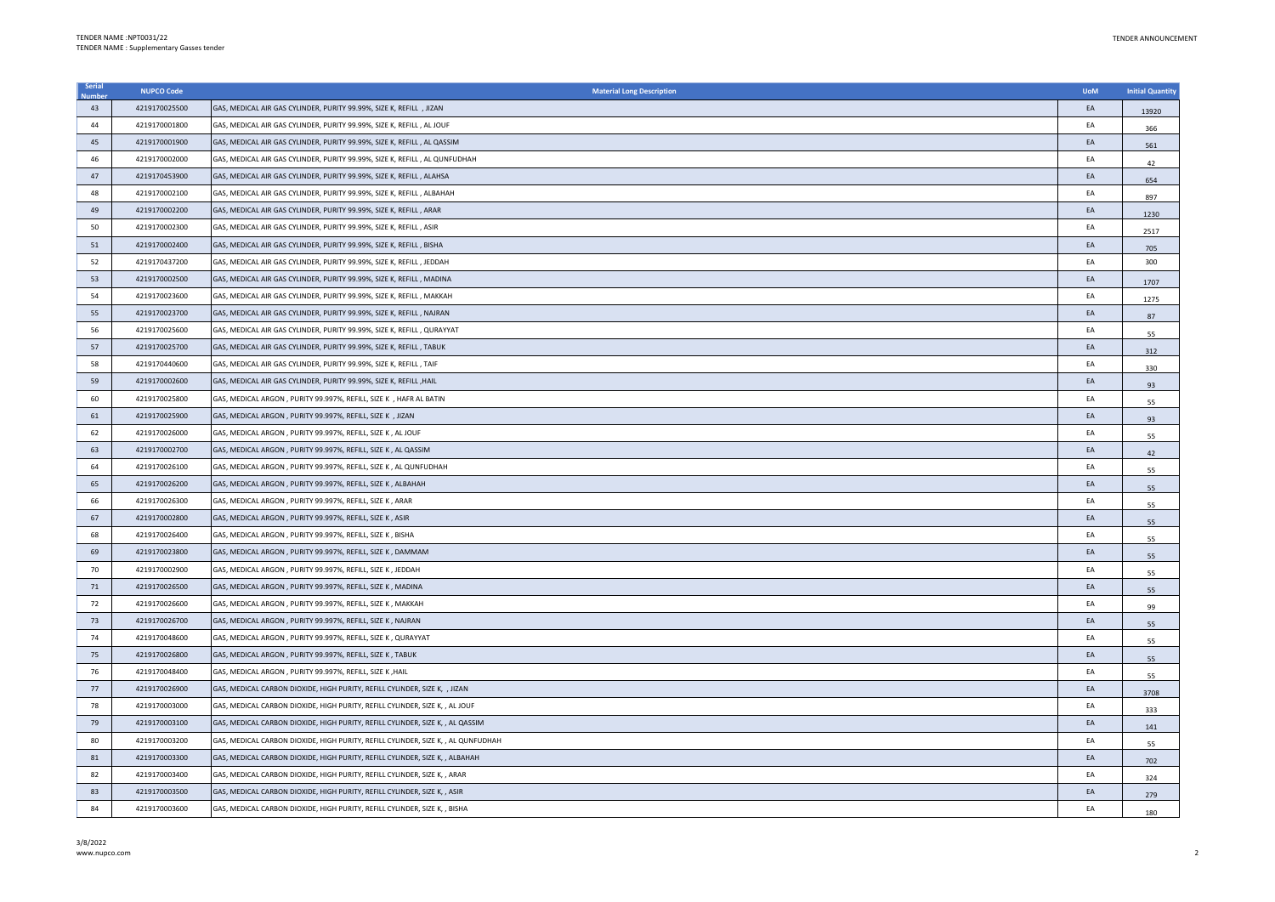| Serial | <b>NUPCO Code</b> | <b>Material Long Description</b>                                                  | <b>UoM</b> | <b>Initial Quantity</b> |
|--------|-------------------|-----------------------------------------------------------------------------------|------------|-------------------------|
| 43     | 4219170025500     | GAS, MEDICAL AIR GAS CYLINDER, PURITY 99.99%, SIZE K, REFILL , JIZAN              | EA         | 13920                   |
| 44     | 4219170001800     | GAS, MEDICAL AIR GAS CYLINDER, PURITY 99.99%, SIZE K, REFILL, AL JOUF             | EA         | 366                     |
| 45     | 4219170001900     | GAS, MEDICAL AIR GAS CYLINDER, PURITY 99.99%, SIZE K, REFILL, AL QASSIM           | EA         | 561                     |
| 46     | 4219170002000     | GAS, MEDICAL AIR GAS CYLINDER, PURITY 99.99%, SIZE K, REFILL, AL QUNFUDHAH        | EA         | 42                      |
| 47     | 4219170453900     | GAS, MEDICAL AIR GAS CYLINDER, PURITY 99.99%, SIZE K, REFILL , ALAHSA             | EA         | 654                     |
| 48     | 4219170002100     | GAS, MEDICAL AIR GAS CYLINDER, PURITY 99.99%, SIZE K, REFILL, ALBAHAH             | EA         | 897                     |
| 49     | 4219170002200     | GAS, MEDICAL AIR GAS CYLINDER, PURITY 99.99%, SIZE K, REFILL , ARAR               | EA         | 1230                    |
| 50     | 4219170002300     | GAS, MEDICAL AIR GAS CYLINDER, PURITY 99.99%, SIZE K, REFILL , ASIR               | EA         | 2517                    |
| 51     | 4219170002400     | GAS, MEDICAL AIR GAS CYLINDER, PURITY 99.99%, SIZE K, REFILL, BISHA               | EA         | 705                     |
| 52     | 4219170437200     | GAS, MEDICAL AIR GAS CYLINDER, PURITY 99.99%, SIZE K, REFILL , JEDDAH             | EA         | 300                     |
| 53     | 4219170002500     | GAS, MEDICAL AIR GAS CYLINDER, PURITY 99.99%, SIZE K, REFILL , MADINA             | EA         | 1707                    |
| 54     | 4219170023600     | GAS, MEDICAL AIR GAS CYLINDER, PURITY 99.99%, SIZE K, REFILL , MAKKAH             | EA         | 1275                    |
| 55     | 4219170023700     | GAS, MEDICAL AIR GAS CYLINDER, PURITY 99.99%, SIZE K, REFILL , NAJRAN             | EA         | 87                      |
| 56     | 4219170025600     | GAS, MEDICAL AIR GAS CYLINDER, PURITY 99.99%, SIZE K, REFILL , QURAYYAT           | EA         | 55                      |
| 57     | 4219170025700     | GAS, MEDICAL AIR GAS CYLINDER, PURITY 99.99%, SIZE K, REFILL , TABUK              | EA         | 312                     |
| 58     | 4219170440600     | GAS, MEDICAL AIR GAS CYLINDER, PURITY 99.99%, SIZE K, REFILL, TAIF                | EA         | 330                     |
| 59     | 4219170002600     | GAS, MEDICAL AIR GAS CYLINDER, PURITY 99.99%, SIZE K, REFILL , HAIL               | EA         | 93                      |
| 60     | 4219170025800     | GAS, MEDICAL ARGON, PURITY 99.997%, REFILL, SIZE K, HAFR AL BATIN                 | EA         | 55                      |
| 61     | 4219170025900     | GAS, MEDICAL ARGON, PURITY 99.997%, REFILL, SIZE K, JIZAN                         | EA         | 93                      |
| 62     | 4219170026000     | GAS, MEDICAL ARGON, PURITY 99.997%, REFILL, SIZE K, AL JOUF                       | EA         | 55                      |
| 63     | 4219170002700     | GAS, MEDICAL ARGON, PURITY 99.997%, REFILL, SIZE K, AL QASSIM                     | EA         | 42                      |
| 64     | 4219170026100     | GAS, MEDICAL ARGON , PURITY 99.997%, REFILL, SIZE K , AL QUNFUDHAH                | EA         | 55                      |
| 65     | 4219170026200     | GAS, MEDICAL ARGON, PURITY 99.997%, REFILL, SIZE K, ALBAHAH                       | EA         | 55                      |
| 66     | 4219170026300     | GAS, MEDICAL ARGON, PURITY 99.997%, REFILL, SIZE K, ARAR                          | EA         | 55                      |
| 67     | 4219170002800     | GAS, MEDICAL ARGON, PURITY 99.997%, REFILL, SIZE K, ASIR                          | EA         | 55                      |
| 68     | 4219170026400     | GAS, MEDICAL ARGON, PURITY 99.997%, REFILL, SIZE K, BISHA                         | EA         | 55                      |
| 69     | 4219170023800     | GAS, MEDICAL ARGON, PURITY 99.997%, REFILL, SIZE K, DAMMAM                        | EA         | 55                      |
| 70     | 4219170002900     | GAS, MEDICAL ARGON, PURITY 99.997%, REFILL, SIZE K, JEDDAH                        | EA         | 55                      |
| 71     | 4219170026500     | GAS, MEDICAL ARGON, PURITY 99.997%, REFILL, SIZE K, MADINA                        | EA         | 55                      |
| 72     | 4219170026600     | GAS, MEDICAL ARGON, PURITY 99.997%, REFILL, SIZE K, MAKKAH                        | EA         | 99                      |
| 73     | 4219170026700     | GAS, MEDICAL ARGON, PURITY 99.997%, REFILL, SIZE K, NAJRAN                        | EA         | 55                      |
| 74     | 4219170048600     | GAS, MEDICAL ARGON, PURITY 99.997%, REFILL, SIZE K, QURAYYAT                      | EA         | 55                      |
| 75     | 4219170026800     | GAS, MEDICAL ARGON, PURITY 99.997%, REFILL, SIZE K, TABUK                         | EA         | 55                      |
| 76     | 4219170048400     | GAS, MEDICAL ARGON, PURITY 99.997%, REFILL, SIZE K, HAIL                          | EA         | 55                      |
| 77     | 4219170026900     | GAS, MEDICAL CARBON DIOXIDE, HIGH PURITY, REFILL CYLINDER, SIZE K, , JIZAN        | EA         | 3708                    |
| 78     | 4219170003000     | GAS, MEDICAL CARBON DIOXIDE, HIGH PURITY, REFILL CYLINDER, SIZE K, , AL JOUF      | EA         | 333                     |
| 79     | 4219170003100     | GAS, MEDICAL CARBON DIOXIDE, HIGH PURITY, REFILL CYLINDER, SIZE K, , AL QASSIM    | EA         | 141                     |
| 80     | 4219170003200     | GAS, MEDICAL CARBON DIOXIDE, HIGH PURITY, REFILL CYLINDER, SIZE K, , AL QUNFUDHAH | EA         | 55                      |
| 81     | 4219170003300     | GAS, MEDICAL CARBON DIOXIDE, HIGH PURITY, REFILL CYLINDER, SIZE K, , ALBAHAH      | EA         | 702                     |
| 82     | 4219170003400     | GAS, MEDICAL CARBON DIOXIDE, HIGH PURITY, REFILL CYLINDER, SIZE K, , ARAR         | EA         | 324                     |
| 83     | 4219170003500     | GAS, MEDICAL CARBON DIOXIDE, HIGH PURITY, REFILL CYLINDER, SIZE K, , ASIR         | EA         | 279                     |
| 84     | 4219170003600     | GAS, MEDICAL CARBON DIOXIDE, HIGH PURITY, REFILL CYLINDER, SIZE K, , BISHA        | EA         | 180                     |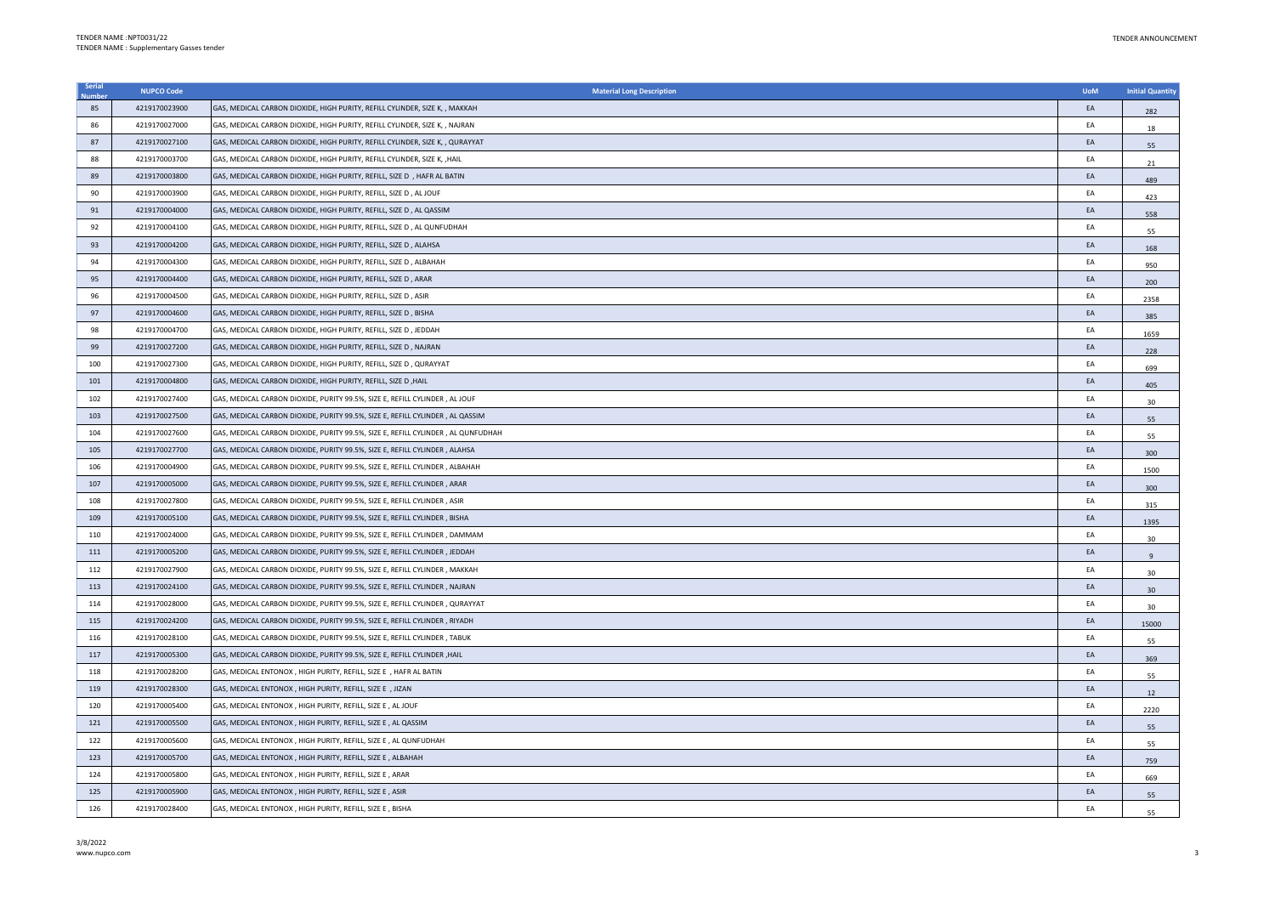| Serial | <b>NUPCO Code</b> | <b>Material Long Description</b>                                                  | <b>UoM</b> | <b>Initial Quantity</b> |
|--------|-------------------|-----------------------------------------------------------------------------------|------------|-------------------------|
| 85     | 4219170023900     | GAS, MEDICAL CARBON DIOXIDE, HIGH PURITY, REFILL CYLINDER, SIZE K, , MAKKAH       | EA         | 282                     |
| 86     | 4219170027000     | GAS, MEDICAL CARBON DIOXIDE, HIGH PURITY, REFILL CYLINDER, SIZE K, , NAJRAN       | EA         | 18                      |
| 87     | 4219170027100     | GAS, MEDICAL CARBON DIOXIDE, HIGH PURITY, REFILL CYLINDER, SIZE K, , QURAYYAT     | EA         | 55                      |
| 88     | 4219170003700     | GAS, MEDICAL CARBON DIOXIDE, HIGH PURITY, REFILL CYLINDER, SIZE K, , HAIL         | EA         | 21                      |
| 89     | 4219170003800     | GAS, MEDICAL CARBON DIOXIDE, HIGH PURITY, REFILL, SIZE D , HAFR AL BATIN          | EA         | 489                     |
| 90     | 4219170003900     | GAS, MEDICAL CARBON DIOXIDE, HIGH PURITY, REFILL, SIZE D, AL JOUF                 | EA         | 423                     |
| 91     | 4219170004000     | GAS, MEDICAL CARBON DIOXIDE, HIGH PURITY, REFILL, SIZE D, AL QASSIM               | EA         | 558                     |
| 92     | 4219170004100     | GAS, MEDICAL CARBON DIOXIDE, HIGH PURITY, REFILL, SIZE D , AL QUNFUDHAH           | EA         | 55                      |
| 93     | 4219170004200     | GAS, MEDICAL CARBON DIOXIDE, HIGH PURITY, REFILL, SIZE D, ALAHSA                  | EA         | 168                     |
| 94     | 4219170004300     | GAS, MEDICAL CARBON DIOXIDE, HIGH PURITY, REFILL, SIZE D, ALBAHAH                 | EA         | 950                     |
| 95     | 4219170004400     | GAS, MEDICAL CARBON DIOXIDE, HIGH PURITY, REFILL, SIZE D, ARAR                    | EA         | 200                     |
| 96     | 4219170004500     | GAS, MEDICAL CARBON DIOXIDE, HIGH PURITY, REFILL, SIZE D, ASIR                    | EA         | 2358                    |
| 97     | 4219170004600     | GAS, MEDICAL CARBON DIOXIDE, HIGH PURITY, REFILL, SIZE D, BISHA                   | EA         | 385                     |
| 98     | 4219170004700     | GAS, MEDICAL CARBON DIOXIDE, HIGH PURITY, REFILL, SIZE D, JEDDAH                  | EA         | 1659                    |
| 99     | 4219170027200     | GAS, MEDICAL CARBON DIOXIDE, HIGH PURITY, REFILL, SIZE D, NAJRAN                  | EA         | 228                     |
| 100    | 4219170027300     | GAS, MEDICAL CARBON DIOXIDE, HIGH PURITY, REFILL, SIZE D , QURAYYAT               | EA         | 699                     |
| 101    | 4219170004800     | GAS, MEDICAL CARBON DIOXIDE, HIGH PURITY, REFILL, SIZE D , HAIL                   | EA         | 405                     |
| 102    | 4219170027400     | GAS, MEDICAL CARBON DIOXIDE, PURITY 99.5%, SIZE E, REFILL CYLINDER, AL JOUF       | EA         | 30                      |
| 103    | 4219170027500     | GAS, MEDICAL CARBON DIOXIDE, PURITY 99.5%, SIZE E, REFILL CYLINDER, AL QASSIM     | EA         | 55                      |
| 104    | 4219170027600     | SAS, MEDICAL CARBON DIOXIDE, PURITY 99.5%, SIZE E, REFILL CYLINDER , AL QUNFUDHAH | EA         | 55                      |
| 105    | 4219170027700     | GAS, MEDICAL CARBON DIOXIDE, PURITY 99.5%, SIZE E, REFILL CYLINDER, ALAHSA        | EA         | 300                     |
| 106    | 4219170004900     | GAS, MEDICAL CARBON DIOXIDE, PURITY 99.5%, SIZE E, REFILL CYLINDER , ALBAHAH      | EA         | 1500                    |
| 107    | 4219170005000     | GAS, MEDICAL CARBON DIOXIDE, PURITY 99.5%, SIZE E, REFILL CYLINDER, ARAR          | EA         | 300                     |
| 108    | 4219170027800     | GAS, MEDICAL CARBON DIOXIDE, PURITY 99.5%, SIZE E, REFILL CYLINDER, ASIR          | EA         | 315                     |
| 109    | 4219170005100     | GAS, MEDICAL CARBON DIOXIDE, PURITY 99.5%, SIZE E, REFILL CYLINDER, BISHA         | EA         | 1395                    |
| 110    | 4219170024000     | GAS, MEDICAL CARBON DIOXIDE, PURITY 99.5%, SIZE E, REFILL CYLINDER, DAMMAM        | EA         | 30                      |
| 111    | 4219170005200     | GAS, MEDICAL CARBON DIOXIDE, PURITY 99.5%, SIZE E, REFILL CYLINDER, JEDDAH        | EA         | $\overline{9}$          |
| 112    | 4219170027900     | GAS, MEDICAL CARBON DIOXIDE, PURITY 99.5%, SIZE E, REFILL CYLINDER , MAKKAH       | EA         | 30                      |
| 113    | 4219170024100     | GAS, MEDICAL CARBON DIOXIDE, PURITY 99.5%, SIZE E, REFILL CYLINDER, NAJRAN        | EA         | 30                      |
| 114    | 4219170028000     | GAS, MEDICAL CARBON DIOXIDE, PURITY 99.5%, SIZE E, REFILL CYLINDER, QURAYYAT      | EA         | 30                      |
| 115    | 4219170024200     | GAS, MEDICAL CARBON DIOXIDE, PURITY 99.5%, SIZE E, REFILL CYLINDER, RIYADH        | EA         | 15000                   |
| 116    | 4219170028100     | GAS, MEDICAL CARBON DIOXIDE, PURITY 99.5%, SIZE E, REFILL CYLINDER, TABUK         | EA         | 55                      |
| 117    | 4219170005300     | GAS, MEDICAL CARBON DIOXIDE, PURITY 99.5%, SIZE E, REFILL CYLINDER , HAIL         | EA         | 369                     |
| 118    | 4219170028200     | GAS, MEDICAL ENTONOX, HIGH PURITY, REFILL, SIZE E, HAFR AL BATIN                  | EA         | 55                      |
| 119    | 4219170028300     | GAS, MEDICAL ENTONOX, HIGH PURITY, REFILL, SIZE E, JIZAN                          | EA         | 12                      |
| 120    | 4219170005400     | GAS, MEDICAL ENTONOX, HIGH PURITY, REFILL, SIZE E, AL JOUF                        | EA         | 2220                    |
| 121    | 4219170005500     | GAS, MEDICAL ENTONOX, HIGH PURITY, REFILL, SIZE E, AL QASSIM                      | EA         | 55                      |
| 122    | 4219170005600     | GAS, MEDICAL ENTONOX, HIGH PURITY, REFILL, SIZE E, AL QUNFUDHAH                   | EA         | 55                      |
| 123    | 4219170005700     | GAS, MEDICAL ENTONOX, HIGH PURITY, REFILL, SIZE E, ALBAHAH                        | EA         | 759                     |
| 124    | 4219170005800     | GAS, MEDICAL ENTONOX, HIGH PURITY, REFILL, SIZE E, ARAR                           | EA         | 669                     |
| 125    | 4219170005900     | GAS, MEDICAL ENTONOX, HIGH PURITY, REFILL, SIZE E, ASIR                           | EA         | 55                      |
| 126    | 4219170028400     | GAS, MEDICAL ENTONOX, HIGH PURITY, REFILL, SIZE E, BISHA                          | FA         | 55                      |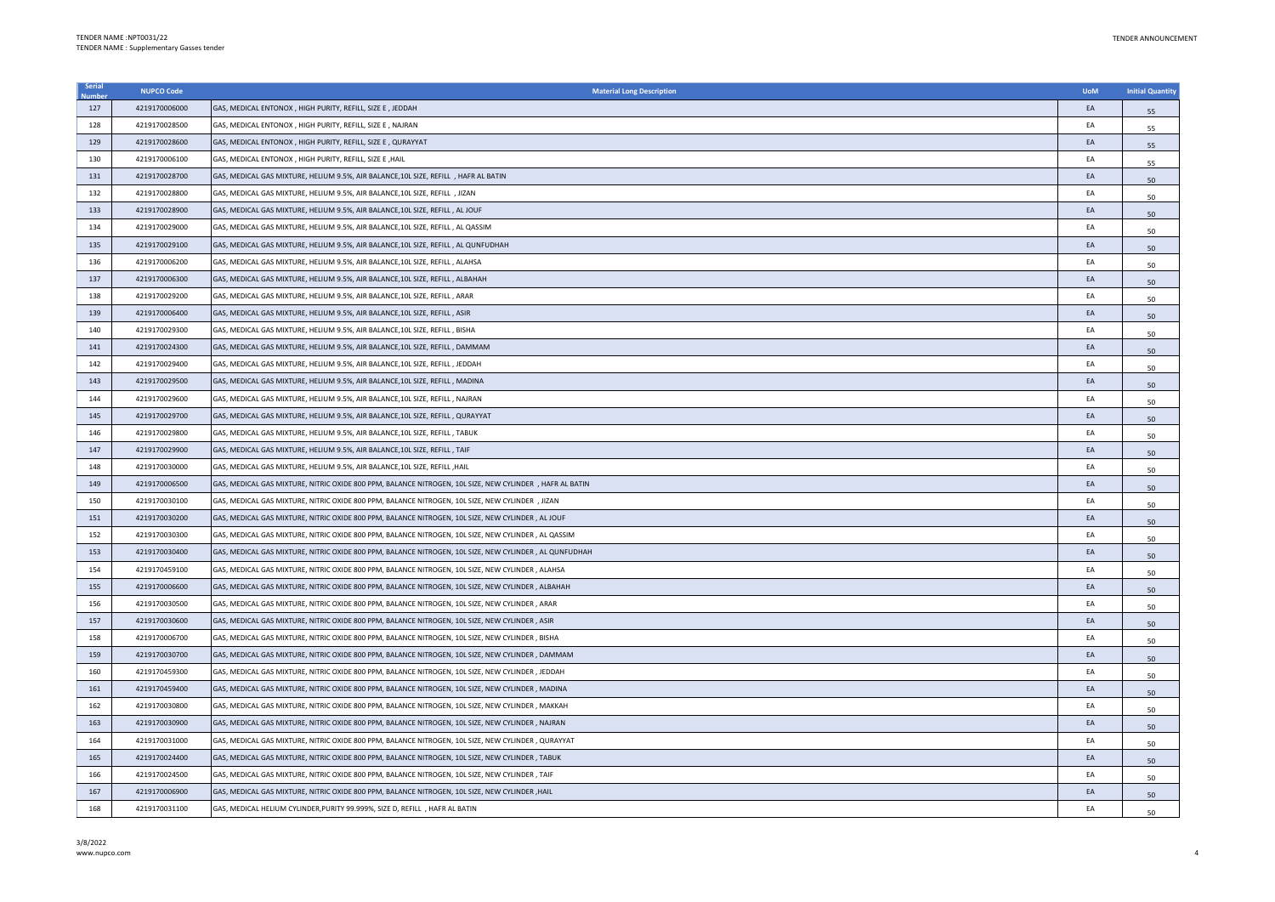| Serial | <b>NUPCO Code</b> | <b>Material Long Description</b>                                                                         | <b>UoM</b> | <b>Initial Quantity</b> |
|--------|-------------------|----------------------------------------------------------------------------------------------------------|------------|-------------------------|
| 127    | 4219170006000     | GAS, MEDICAL ENTONOX, HIGH PURITY, REFILL, SIZE E, JEDDAH                                                | EA         | 55                      |
| 128    | 4219170028500     | GAS, MEDICAL ENTONOX, HIGH PURITY, REFILL, SIZE E, NAJRAN                                                | EA         | 55                      |
| 129    | 4219170028600     | GAS, MEDICAL ENTONOX, HIGH PURITY, REFILL, SIZE E, QURAYYAT                                              | EA         | 55                      |
| 130    | 4219170006100     | GAS, MEDICAL ENTONOX, HIGH PURITY, REFILL, SIZE E, HAIL                                                  | EA         | 55                      |
| 131    | 4219170028700     | GAS, MEDICAL GAS MIXTURE, HELIUM 9.5%, AIR BALANCE, 10L SIZE, REFILL , HAFR AL BATIN                     | EA         | 50                      |
| 132    | 4219170028800     | GAS, MEDICAL GAS MIXTURE, HELIUM 9.5%, AIR BALANCE, 10L SIZE, REFILL , JIZAN                             | EA         | 50                      |
| 133    | 4219170028900     | GAS, MEDICAL GAS MIXTURE, HELIUM 9.5%, AIR BALANCE, 10L SIZE, REFILL , AL JOUF                           | EA         | 50                      |
| 134    | 4219170029000     | GAS, MEDICAL GAS MIXTURE, HELIUM 9.5%, AIR BALANCE, 10L SIZE, REFILL, AL QASSIM                          | EA         | 50                      |
| 135    | 4219170029100     | GAS, MEDICAL GAS MIXTURE, HELIUM 9.5%, AIR BALANCE, 10L SIZE, REFILL , AL QUNFUDHAH                      | EA         | 50                      |
| 136    | 4219170006200     | GAS, MEDICAL GAS MIXTURE, HELIUM 9.5%, AIR BALANCE, 10L SIZE, REFILL , ALAHSA                            | EA         | 50                      |
| 137    | 4219170006300     | GAS, MEDICAL GAS MIXTURE, HELIUM 9.5%, AIR BALANCE, 10L SIZE, REFILL, ALBAHAH                            | EA         | 50                      |
| 138    | 4219170029200     | GAS, MEDICAL GAS MIXTURE, HELIUM 9.5%, AIR BALANCE, 10L SIZE, REFILL, ARAR                               | EA         | 50                      |
| 139    | 4219170006400     | GAS, MEDICAL GAS MIXTURE, HELIUM 9.5%, AIR BALANCE, 10L SIZE, REFILL, ASIR                               | EA         | 50                      |
| 140    | 4219170029300     | GAS, MEDICAL GAS MIXTURE, HELIUM 9.5%, AIR BALANCE, 10L SIZE, REFILL, BISHA                              | EA         | 50                      |
| 141    | 4219170024300     | GAS, MEDICAL GAS MIXTURE, HELIUM 9.5%, AIR BALANCE, 10L SIZE, REFILL, DAMMAM                             | EA         | 50                      |
| 142    | 4219170029400     | GAS, MEDICAL GAS MIXTURE, HELIUM 9.5%, AIR BALANCE, 10L SIZE, REFILL, JEDDAH                             | EA         | 50                      |
| 143    | 4219170029500     | GAS, MEDICAL GAS MIXTURE, HELIUM 9.5%, AIR BALANCE, 10L SIZE, REFILL, MADINA                             | EA         | 50                      |
| 144    | 4219170029600     | GAS, MEDICAL GAS MIXTURE, HELIUM 9.5%, AIR BALANCE, 10L SIZE, REFILL, NAJRAN                             | EA         | 50                      |
| 145    | 4219170029700     | GAS, MEDICAL GAS MIXTURE, HELIUM 9.5%, AIR BALANCE, 10L SIZE, REFILL , QURAYYAT                          | EA         | 50                      |
| 146    | 4219170029800     | GAS, MEDICAL GAS MIXTURE, HELIUM 9.5%, AIR BALANCE, 10L SIZE, REFILL , TABUK                             | EA         | 50                      |
| 147    | 4219170029900     | GAS, MEDICAL GAS MIXTURE, HELIUM 9.5%, AIR BALANCE, 10L SIZE, REFILL , TAIF                              | EA         | 50                      |
| 148    | 4219170030000     | GAS, MEDICAL GAS MIXTURE, HELIUM 9.5%, AIR BALANCE, 10L SIZE, REFILL , HAIL                              | EA         | 50                      |
| 149    | 4219170006500     | GAS, MEDICAL GAS MIXTURE, NITRIC OXIDE 800 PPM, BALANCE NITROGEN, 10L SIZE, NEW CYLINDER , HAFR AL BATIN | EA         | 50                      |
| 150    | 4219170030100     | GAS, MEDICAL GAS MIXTURE, NITRIC OXIDE 800 PPM, BALANCE NITROGEN, 10L SIZE, NEW CYLINDER, JIZAN          | EA         | 50                      |
| 151    | 4219170030200     | GAS, MEDICAL GAS MIXTURE, NITRIC OXIDE 800 PPM, BALANCE NITROGEN, 10L SIZE, NEW CYLINDER, AL JOUF        | EA         | 50                      |
| 152    | 4219170030300     | GAS, MEDICAL GAS MIXTURE, NITRIC OXIDE 800 PPM, BALANCE NITROGEN, 10L SIZE, NEW CYLINDER, AL QASSIM      | EA         | 50                      |
| 153    | 4219170030400     | GAS, MEDICAL GAS MIXTURE, NITRIC OXIDE 800 PPM, BALANCE NITROGEN, 10L SIZE, NEW CYLINDER, AL QUNFUDHAH   | EA         | 50                      |
| 154    | 4219170459100     | GAS, MEDICAL GAS MIXTURE, NITRIC OXIDE 800 PPM, BALANCE NITROGEN, 10L SIZE, NEW CYLINDER, ALAHSA         | EA         | 50                      |
| 155    | 4219170006600     | GAS, MEDICAL GAS MIXTURE, NITRIC OXIDE 800 PPM, BALANCE NITROGEN, 10L SIZE, NEW CYLINDER, ALBAHAH        | EA         | 50                      |
| 156    | 4219170030500     | GAS, MEDICAL GAS MIXTURE, NITRIC OXIDE 800 PPM, BALANCE NITROGEN, 10L SIZE, NEW CYLINDER, ARAR           | EA         | 50                      |
| 157    | 4219170030600     | GAS, MEDICAL GAS MIXTURE, NITRIC OXIDE 800 PPM, BALANCE NITROGEN, 10L SIZE, NEW CYLINDER, ASIR           | EA         | 50                      |
| 158    | 4219170006700     | GAS, MEDICAL GAS MIXTURE, NITRIC OXIDE 800 PPM, BALANCE NITROGEN, 10L SIZE, NEW CYLINDER, BISHA          | EA         | 50                      |
| 159    | 4219170030700     | GAS, MEDICAL GAS MIXTURE, NITRIC OXIDE 800 PPM, BALANCE NITROGEN, 10L SIZE, NEW CYLINDER , DAMMAM        | EA         | 50                      |
| 160    | 4219170459300     | GAS, MEDICAL GAS MIXTURE, NITRIC OXIDE 800 PPM, BALANCE NITROGEN, 10L SIZE, NEW CYLINDER, JEDDAH         | EA         | 50                      |
| 161    | 4219170459400     | GAS, MEDICAL GAS MIXTURE, NITRIC OXIDE 800 PPM, BALANCE NITROGEN, 10L SIZE, NEW CYLINDER , MADINA        | EA         | 50                      |
| 162    | 4219170030800     | GAS, MEDICAL GAS MIXTURE, NITRIC OXIDE 800 PPM, BALANCE NITROGEN, 10L SIZE, NEW CYLINDER, MAKKAH         | EA         | 50                      |
| 163    | 4219170030900     | GAS, MEDICAL GAS MIXTURE, NITRIC OXIDE 800 PPM, BALANCE NITROGEN, 10L SIZE, NEW CYLINDER , NAJRAN        | EA         | 50                      |
| 164    | 4219170031000     | GAS, MEDICAL GAS MIXTURE, NITRIC OXIDE 800 PPM, BALANCE NITROGEN, 10L SIZE, NEW CYLINDER, QURAYYAT       | EA         | 50                      |
| 165    | 4219170024400     | GAS, MEDICAL GAS MIXTURE, NITRIC OXIDE 800 PPM, BALANCE NITROGEN, 10L SIZE, NEW CYLINDER, TABUK          | EA         | 50                      |
| 166    | 4219170024500     | GAS, MEDICAL GAS MIXTURE, NITRIC OXIDE 800 PPM, BALANCE NITROGEN, 10L SIZE, NEW CYLINDER, TAIF           | EA         | 50                      |
| 167    | 4219170006900     | GAS, MEDICAL GAS MIXTURE, NITRIC OXIDE 800 PPM, BALANCE NITROGEN, 10L SIZE, NEW CYLINDER, HAIL           | EA         | 50                      |
| 168    | 4219170031100     | GAS, MEDICAL HELIUM CYLINDER, PURITY 99.999%, SIZE D, REFILL , HAFR AL BATIN                             | FA         | 50                      |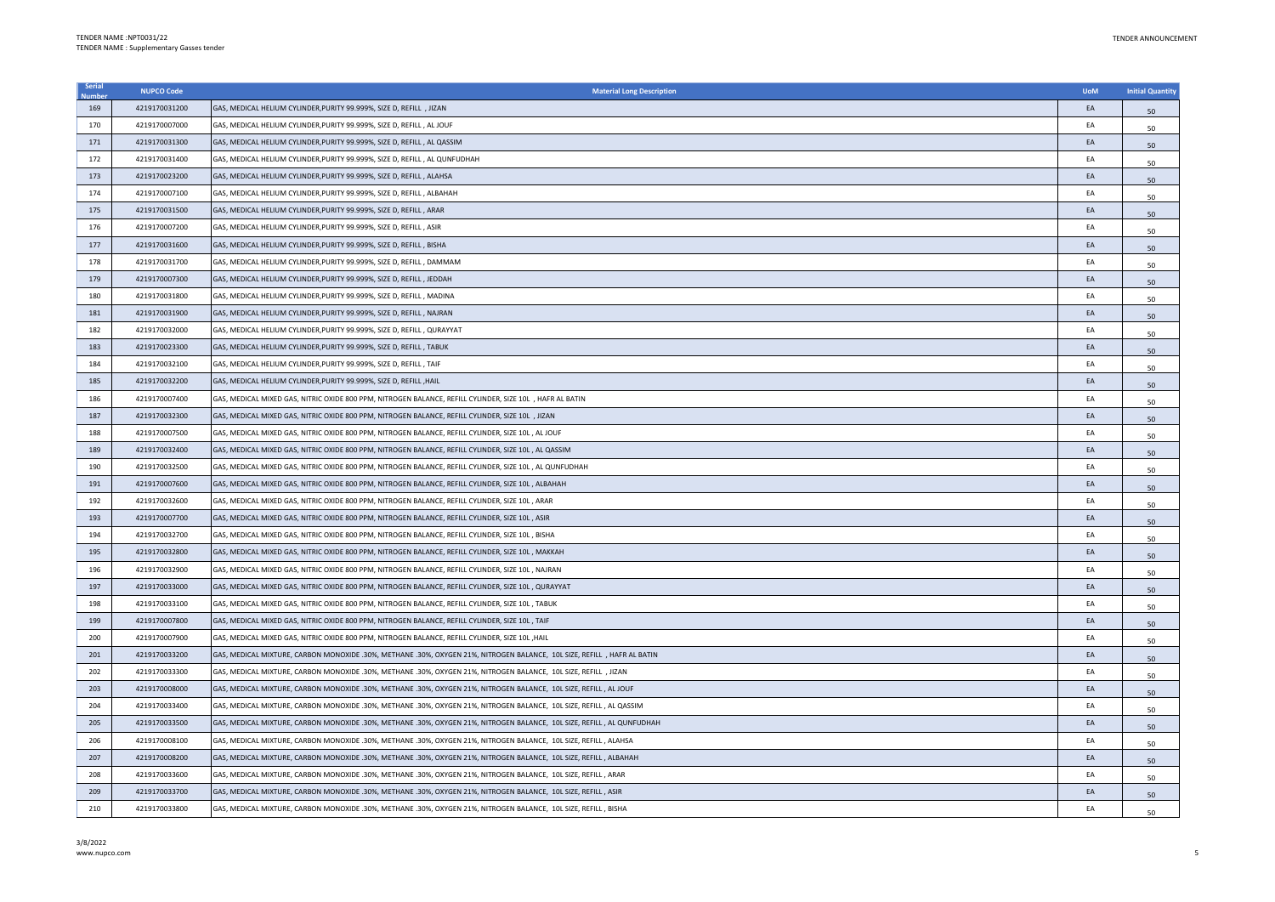| Serial | <b>NUPCO Code</b> | <b>Material Long Description</b>                                                                                         | <b>UoM</b> | <b>Initial Quantity</b> |
|--------|-------------------|--------------------------------------------------------------------------------------------------------------------------|------------|-------------------------|
| 169    | 4219170031200     | GAS, MEDICAL HELIUM CYLINDER, PURITY 99.999%, SIZE D, REFILL, JIZAN                                                      | EA         | 50                      |
| 170    | 4219170007000     | GAS, MEDICAL HELIUM CYLINDER, PURITY 99.999%, SIZE D, REFILL, AL JOUF                                                    | EA         | 50                      |
| 171    | 4219170031300     | GAS, MEDICAL HELIUM CYLINDER, PURITY 99.999%, SIZE D, REFILL, AL QASSIM                                                  | EA         | 50                      |
| 172    | 4219170031400     | GAS, MEDICAL HELIUM CYLINDER, PURITY 99.999%, SIZE D, REFILL, AL QUNFUDHAH                                               | EA         | 50                      |
| 173    | 4219170023200     | GAS, MEDICAL HELIUM CYLINDER, PURITY 99.999%, SIZE D, REFILL, ALAHSA                                                     | EA         | 50                      |
| 174    | 4219170007100     | GAS, MEDICAL HELIUM CYLINDER, PURITY 99.999%, SIZE D, REFILL, ALBAHAH                                                    | EA         | 50                      |
| 175    | 4219170031500     | GAS, MEDICAL HELIUM CYLINDER, PURITY 99.999%, SIZE D, REFILL, ARAR                                                       | EA         | 50                      |
| 176    | 4219170007200     | GAS, MEDICAL HELIUM CYLINDER, PURITY 99.999%, SIZE D, REFILL, ASIR                                                       | EA         | 50                      |
| 177    | 4219170031600     | GAS, MEDICAL HELIUM CYLINDER, PURITY 99.999%, SIZE D, REFILL, BISHA                                                      | EA         | 50                      |
| 178    | 4219170031700     | GAS, MEDICAL HELIUM CYLINDER, PURITY 99.999%, SIZE D, REFILL, DAMMAM                                                     | EA         | 50                      |
| 179    | 4219170007300     | GAS, MEDICAL HELIUM CYLINDER, PURITY 99.999%, SIZE D, REFILL, JEDDAH                                                     | EA         | 50                      |
| 180    | 4219170031800     | GAS, MEDICAL HELIUM CYLINDER, PURITY 99.999%, SIZE D, REFILL, MADINA                                                     | EA         | 50                      |
| 181    | 4219170031900     | GAS, MEDICAL HELIUM CYLINDER, PURITY 99.999%, SIZE D, REFILL, NAJRAN                                                     | EA         | 50                      |
| 182    | 4219170032000     | GAS, MEDICAL HELIUM CYLINDER, PURITY 99.999%, SIZE D, REFILL, QURAYYAT                                                   | EA         | 50                      |
| 183    | 4219170023300     | GAS, MEDICAL HELIUM CYLINDER, PURITY 99.999%, SIZE D, REFILL, TABUK                                                      | EA         | 50                      |
| 184    | 4219170032100     | GAS, MEDICAL HELIUM CYLINDER, PURITY 99,999%, SIZE D. REFILL, TAIF                                                       | EA         | 50                      |
| 185    | 4219170032200     | GAS, MEDICAL HELIUM CYLINDER, PURITY 99.999%, SIZE D, REFILL , HAIL                                                      | EA         | 50                      |
| 186    | 4219170007400     | GAS, MEDICAL MIXED GAS, NITRIC OXIDE 800 PPM, NITROGEN BALANCE, REFILL CYLINDER, SIZE 10L, HAFR AL BATIN                 | EA         | 50                      |
| 187    | 4219170032300     | GAS, MEDICAL MIXED GAS, NITRIC OXIDE 800 PPM, NITROGEN BALANCE, REFILL CYLINDER, SIZE 10L , JIZAN                        | EA         | 50                      |
| 188    | 4219170007500     | GAS, MEDICAL MIXED GAS, NITRIC OXIDE 800 PPM, NITROGEN BALANCE, REFILL CYLINDER, SIZE 10L , AL JOUF                      | EA         | 50                      |
| 189    | 4219170032400     | GAS, MEDICAL MIXED GAS, NITRIC OXIDE 800 PPM, NITROGEN BALANCE, REFILL CYLINDER, SIZE 10L, AL QASSIM                     | EA         | 50                      |
| 190    | 4219170032500     | GAS, MEDICAL MIXED GAS, NITRIC OXIDE 800 PPM, NITROGEN BALANCE, REFILL CYLINDER, SIZE 10L , AL QUNFUDHAH                 | EA         | 50                      |
| 191    | 4219170007600     | GAS, MEDICAL MIXED GAS, NITRIC OXIDE 800 PPM, NITROGEN BALANCE, REFILL CYLINDER, SIZE 10L , ALBAHAH                      | EA         | 50                      |
| 192    | 4219170032600     | GAS, MEDICAL MIXED GAS, NITRIC OXIDE 800 PPM, NITROGEN BALANCE, REFILL CYLINDER, SIZE 10L, ARAR                          | EA         | 50                      |
| 193    | 4219170007700     | GAS, MEDICAL MIXED GAS, NITRIC OXIDE 800 PPM, NITROGEN BALANCE, REFILL CYLINDER, SIZE 10L, ASIR                          | EA         | 50                      |
| 194    | 4219170032700     | GAS, MEDICAL MIXED GAS, NITRIC OXIDE 800 PPM, NITROGEN BALANCE, REFILL CYLINDER, SIZE 10L, BISHA                         | EA         | 50                      |
| 195    | 4219170032800     | GAS, MEDICAL MIXED GAS, NITRIC OXIDE 800 PPM, NITROGEN BALANCE, REFILL CYLINDER, SIZE 10L , MAKKAH                       | EA         | 50                      |
| 196    | 4219170032900     | GAS, MEDICAL MIXED GAS, NITRIC OXIDE 800 PPM, NITROGEN BALANCE, REFILL CYLINDER, SIZE 10L , NAJRAN                       | EA         | 50                      |
| 197    | 4219170033000     | GAS, MEDICAL MIXED GAS, NITRIC OXIDE 800 PPM, NITROGEN BALANCE, REFILL CYLINDER, SIZE 10L , QURAYYAT                     | FA         | 50                      |
| 198    | 4219170033100     | GAS, MEDICAL MIXED GAS, NITRIC OXIDE 800 PPM, NITROGEN BALANCE, REFILL CYLINDER, SIZE 10L, TABUK                         | EA         | 50                      |
| 199    | 4219170007800     | GAS, MEDICAL MIXED GAS, NITRIC OXIDE 800 PPM, NITROGEN BALANCE, REFILL CYLINDER, SIZE 10L, TAIF                          | EA         | 50                      |
| 200    | 4219170007900     | GAS, MEDICAL MIXED GAS, NITRIC OXIDE 800 PPM, NITROGEN BALANCE, REFILL CYLINDER, SIZE 10L ,HAIL                          | EA         | 50                      |
| 201    | 4219170033200     | GAS, MEDICAL MIXTURE, CARBON MONOXIDE .30%, METHANE .30%, OXYGEN 21%, NITROGEN BALANCE, 10L SIZE, REFILL , HAFR AL BATIN | EA         | 50                      |
| 202    | 4219170033300     | GAS, MEDICAL MIXTURE, CARBON MONOXIDE .30%, METHANE .30%, OXYGEN 21%, NITROGEN BALANCE, 10L SIZE, REFILL , JIZAN         | EA         | 50                      |
| 203    | 4219170008000     | GAS, MEDICAL MIXTURE, CARBON MONOXIDE .30%, METHANE .30%, OXYGEN 21%, NITROGEN BALANCE, 10L SIZE, REFILL , AL JOUF       | EA         | 50                      |
| 204    | 4219170033400     | GAS, MEDICAL MIXTURE, CARBON MONOXIDE .30%, METHANE .30%, OXYGEN 21%, NITROGEN BALANCE, 10L SIZE, REFILL , AL QASSIM     | EA         | 50                      |
| 205    | 4219170033500     | GAS, MEDICAL MIXTURE, CARBON MONOXIDE .30%, METHANE .30%, OXYGEN 21%, NITROGEN BALANCE, 10L SIZE, REFILL , AL QUNFUDHAH  | EA         | 50                      |
| 206    | 4219170008100     | GAS, MEDICAL MIXTURE, CARBON MONOXIDE .30%, METHANE .30%, OXYGEN 21%, NITROGEN BALANCE, 10L SIZE, REFILL , ALAHSA        | EA         | 50                      |
| 207    | 4219170008200     | GAS, MEDICAL MIXTURE, CARBON MONOXIDE .30%, METHANE .30%, OXYGEN 21%, NITROGEN BALANCE, 10L SIZE, REFILL , ALBAHAH       | EA         | 50                      |
| 208    | 4219170033600     | GAS, MEDICAL MIXTURE, CARBON MONOXIDE .30%, METHANE .30%, OXYGEN 21%, NITROGEN BALANCE, 10L SIZE, REFILL , ARAR          | EA         | 50                      |
| 209    | 4219170033700     | GAS, MEDICAL MIXTURE, CARBON MONOXIDE .30%, METHANE .30%, OXYGEN 21%, NITROGEN BALANCE, 10L SIZE, REFILL , ASIR          | EA         | 50                      |
| 210    | 4219170033800     | GAS, MEDICAL MIXTURE, CARBON MONOXIDE .30%, METHANE .30%, OXYGEN 21%, NITROGEN BALANCE, 10L SIZE, REFILL , BISHA         | FA         | 50                      |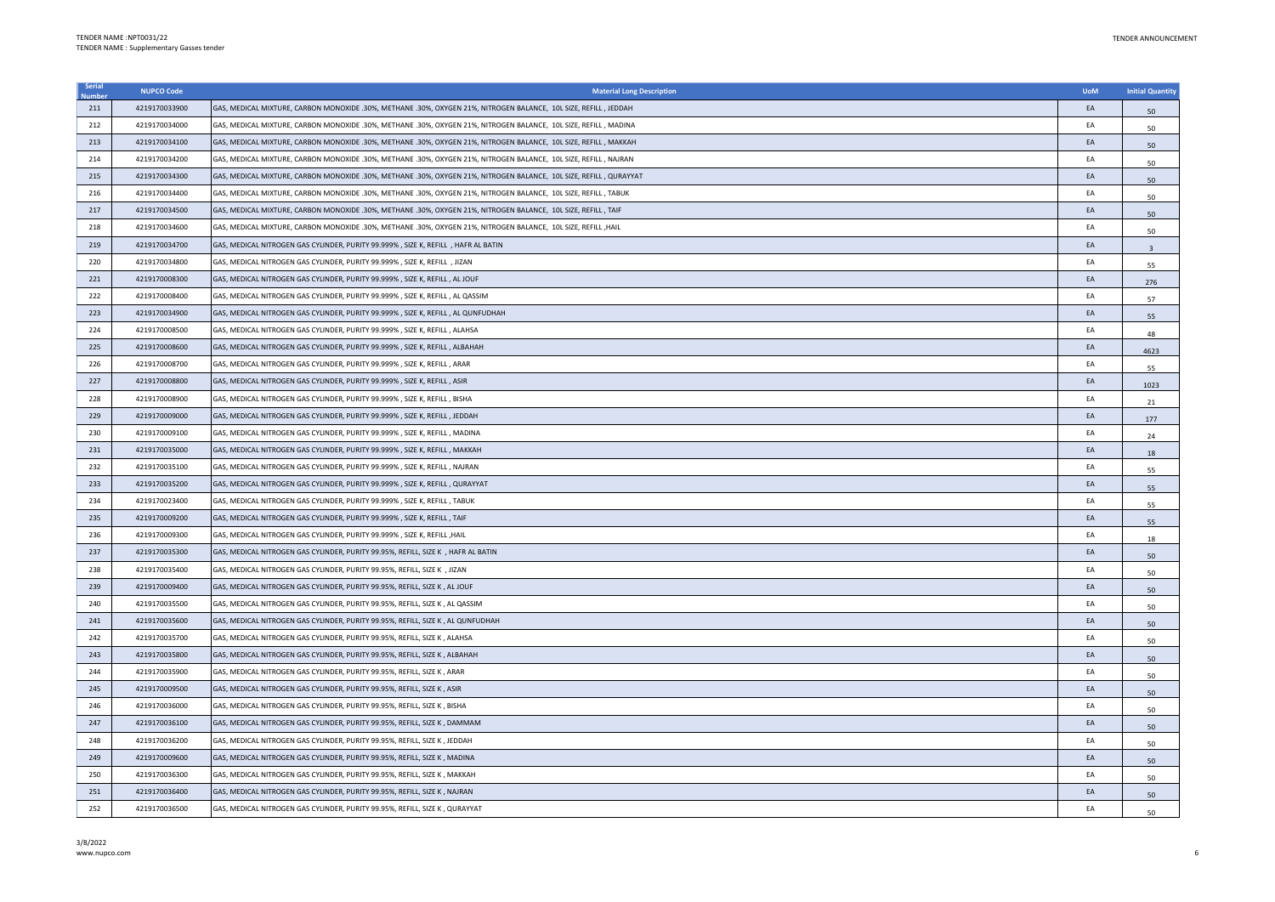| Serial | <b>NUPCO Code</b> | <b>Material Long Description</b>                                                                                    | <b>UoM</b> | <b>Initial Quantity</b> |
|--------|-------------------|---------------------------------------------------------------------------------------------------------------------|------------|-------------------------|
| 211    | 4219170033900     | GAS, MEDICAL MIXTURE, CARBON MONOXIDE .30%, METHANE .30%, OXYGEN 21%, NITROGEN BALANCE, 10L SIZE, REFILL , JEDDAH   | EA         | 50                      |
| 212    | 4219170034000     | GAS, MEDICAL MIXTURE, CARBON MONOXIDE .30%, METHANE .30%, OXYGEN 21%, NITROGEN BALANCE, 10L SIZE, REFILL , MADINA   | EA         | 50                      |
| 213    | 4219170034100     | GAS, MEDICAL MIXTURE, CARBON MONOXIDE .30%, METHANE .30%, OXYGEN 21%, NITROGEN BALANCE, 10L SIZE, REFILL , MAKKAH   | EA         | 50                      |
| 214    | 4219170034200     | GAS, MEDICAL MIXTURE, CARBON MONOXIDE .30%, METHANE .30%, OXYGEN 21%, NITROGEN BALANCE, 10L SIZE, REFILL , NAJRAN   | EA         | 50                      |
| 215    | 4219170034300     | GAS, MEDICAL MIXTURE, CARBON MONOXIDE .30%, METHANE .30%, OXYGEN 21%, NITROGEN BALANCE, 10L SIZE, REFILL , QURAYYAT | EA         | 50                      |
| 216    | 4219170034400     | GAS, MEDICAL MIXTURE, CARBON MONOXIDE .30%, METHANE .30%, OXYGEN 21%, NITROGEN BALANCE, 10L SIZE, REFILL , TABUK    | EA         | 50                      |
| 217    | 4219170034500     | GAS, MEDICAL MIXTURE, CARBON MONOXIDE .30%, METHANE .30%, OXYGEN 21%, NITROGEN BALANCE, 10L SIZE, REFILL , TAIF     | EA         | 50                      |
| 218    | 4219170034600     | GAS, MEDICAL MIXTURE, CARBON MONOXIDE .30%, METHANE .30%, OXYGEN 21%, NITROGEN BALANCE, 10L SIZE, REFILL ,HAIL      | EA         | 50                      |
| 219    | 4219170034700     | GAS, MEDICAL NITROGEN GAS CYLINDER, PURITY 99.999%, SIZE K, REFILL , HAFR AL BATIN                                  | EA         |                         |
| 220    | 4219170034800     | GAS, MEDICAL NITROGEN GAS CYLINDER, PURITY 99.999% , SIZE K, REFILL , JIZAN                                         | EA         | 55                      |
| 221    | 4219170008300     | GAS, MEDICAL NITROGEN GAS CYLINDER, PURITY 99.999%, SIZE K, REFILL, AL JOUF                                         | EA         | 276                     |
| 222    | 4219170008400     | GAS, MEDICAL NITROGEN GAS CYLINDER, PURITY 99.999%, SIZE K, REFILL, AL QASSIM                                       | EA         | 57                      |
| 223    | 4219170034900     | GAS, MEDICAL NITROGEN GAS CYLINDER, PURITY 99.999%, SIZE K, REFILL, AL QUNFUDHAH                                    | EA         | 55                      |
| 224    | 4219170008500     | GAS, MEDICAL NITROGEN GAS CYLINDER, PURITY 99.999% , SIZE K, REFILL , ALAHSA                                        | EA         | 48                      |
| 225    | 4219170008600     | GAS, MEDICAL NITROGEN GAS CYLINDER, PURITY 99.999%, SIZE K, REFILL, ALBAHAH                                         | EA         | 4623                    |
| 226    | 4219170008700     | GAS, MEDICAL NITROGEN GAS CYLINDER, PURITY 99.999% , SIZE K, REFILL , ARAR                                          | EA         | 55                      |
| 227    | 4219170008800     | GAS, MEDICAL NITROGEN GAS CYLINDER, PURITY 99.999%, SIZE K, REFILL, ASIR                                            | EA         | 1023                    |
| 228    | 4219170008900     | GAS, MEDICAL NITROGEN GAS CYLINDER, PURITY 99.999% , SIZE K, REFILL , BISHA                                         | EA         | 21                      |
| 229    | 4219170009000     | GAS, MEDICAL NITROGEN GAS CYLINDER, PURITY 99.999% , SIZE K, REFILL , JEDDAH                                        | EA         | 177                     |
| 230    | 4219170009100     | GAS, MEDICAL NITROGEN GAS CYLINDER, PURITY 99.999% , SIZE K, REFILL , MADINA                                        | EA         | 24                      |
| 231    | 4219170035000     | GAS, MEDICAL NITROGEN GAS CYLINDER, PURITY 99.999% , SIZE K, REFILL , MAKKAH                                        | EA         | 18                      |
| 232    | 4219170035100     | GAS, MEDICAL NITROGEN GAS CYLINDER, PURITY 99.999% , SIZE K, REFILL , NAJRAN                                        | EA         | 55                      |
| 233    | 4219170035200     | GAS, MEDICAL NITROGEN GAS CYLINDER, PURITY 99.999% , SIZE K, REFILL , QURAYYAT                                      | EA         | 55                      |
| 234    | 4219170023400     | GAS, MEDICAL NITROGEN GAS CYLINDER, PURITY 99.999% , SIZE K, REFILL , TABUK                                         | EA         | 55                      |
| 235    | 4219170009200     | GAS, MEDICAL NITROGEN GAS CYLINDER, PURITY 99.999%, SIZE K, REFILL, TAIF                                            | EA         | 55                      |
| 236    | 4219170009300     | GAS, MEDICAL NITROGEN GAS CYLINDER, PURITY 99.999% , SIZE K, REFILL ,HAIL                                           | EA         | 18                      |
| 237    | 4219170035300     | GAS, MEDICAL NITROGEN GAS CYLINDER, PURITY 99.95%, REFILL, SIZE K , HAFR AL BATIN                                   | EA         | 50                      |
| 238    | 4219170035400     | GAS, MEDICAL NITROGEN GAS CYLINDER, PURITY 99.95%, REFILL, SIZE K, JIZAN                                            | EA         | 50                      |
| 239    | 4219170009400     | GAS, MEDICAL NITROGEN GAS CYLINDER, PURITY 99.95%, REFILL, SIZE K., AL JOUF                                         | EA         | 50                      |
| 240    | 4219170035500     | GAS, MEDICAL NITROGEN GAS CYLINDER, PURITY 99.95%, REFILL, SIZE K, AL QASSIM                                        | EA         | 50                      |
| 241    | 4219170035600     | GAS, MEDICAL NITROGEN GAS CYLINDER, PURITY 99.95%, REFILL, SIZE K, AL QUNFUDHAH                                     | EA         | 50                      |
| 242    | 4219170035700     | GAS, MEDICAL NITROGEN GAS CYLINDER, PURITY 99.95%, REFILL, SIZE K, ALAHSA                                           | EA         | 50                      |
| 243    | 4219170035800     | GAS, MEDICAL NITROGEN GAS CYLINDER, PURITY 99.95%, REFILL, SIZE K, ALBAHAH                                          | EA         | 50                      |
| 244    | 4219170035900     | GAS, MEDICAL NITROGEN GAS CYLINDER, PURITY 99.95%, REFILL, SIZE K, ARAR                                             | EA         | 50                      |
| 245    | 4219170009500     | GAS, MEDICAL NITROGEN GAS CYLINDER, PURITY 99.95%, REFILL, SIZE K, ASIR                                             | EA         | 50                      |
| 246    | 4219170036000     | GAS, MEDICAL NITROGEN GAS CYLINDER, PURITY 99.95%, REFILL, SIZE K, BISHA                                            | EA         | 50                      |
| 247    | 4219170036100     | GAS, MEDICAL NITROGEN GAS CYLINDER, PURITY 99.95%, REFILL, SIZE K, DAMMAM                                           | EA         | 50                      |
| 248    | 4219170036200     | GAS, MEDICAL NITROGEN GAS CYLINDER, PURITY 99.95%, REFILL, SIZE K , JEDDAH                                          | EA         | 50                      |
| 249    | 4219170009600     | GAS, MEDICAL NITROGEN GAS CYLINDER, PURITY 99.95%, REFILL, SIZE K, MADINA                                           | EA         | 50                      |
| 250    | 4219170036300     | GAS, MEDICAL NITROGEN GAS CYLINDER, PURITY 99.95%, REFILL, SIZE K, MAKKAH                                           | EA         | 50                      |
| 251    | 4219170036400     | GAS, MEDICAL NITROGEN GAS CYLINDER, PURITY 99.95%, REFILL, SIZE K, NAJRAN                                           | EA         | 50                      |
| 252    | 4219170036500     | GAS, MEDICAL NITROGEN GAS CYLINDER, PURITY 99.95%, REFILL, SIZE K, QURAYYAT                                         | FA         | 50                      |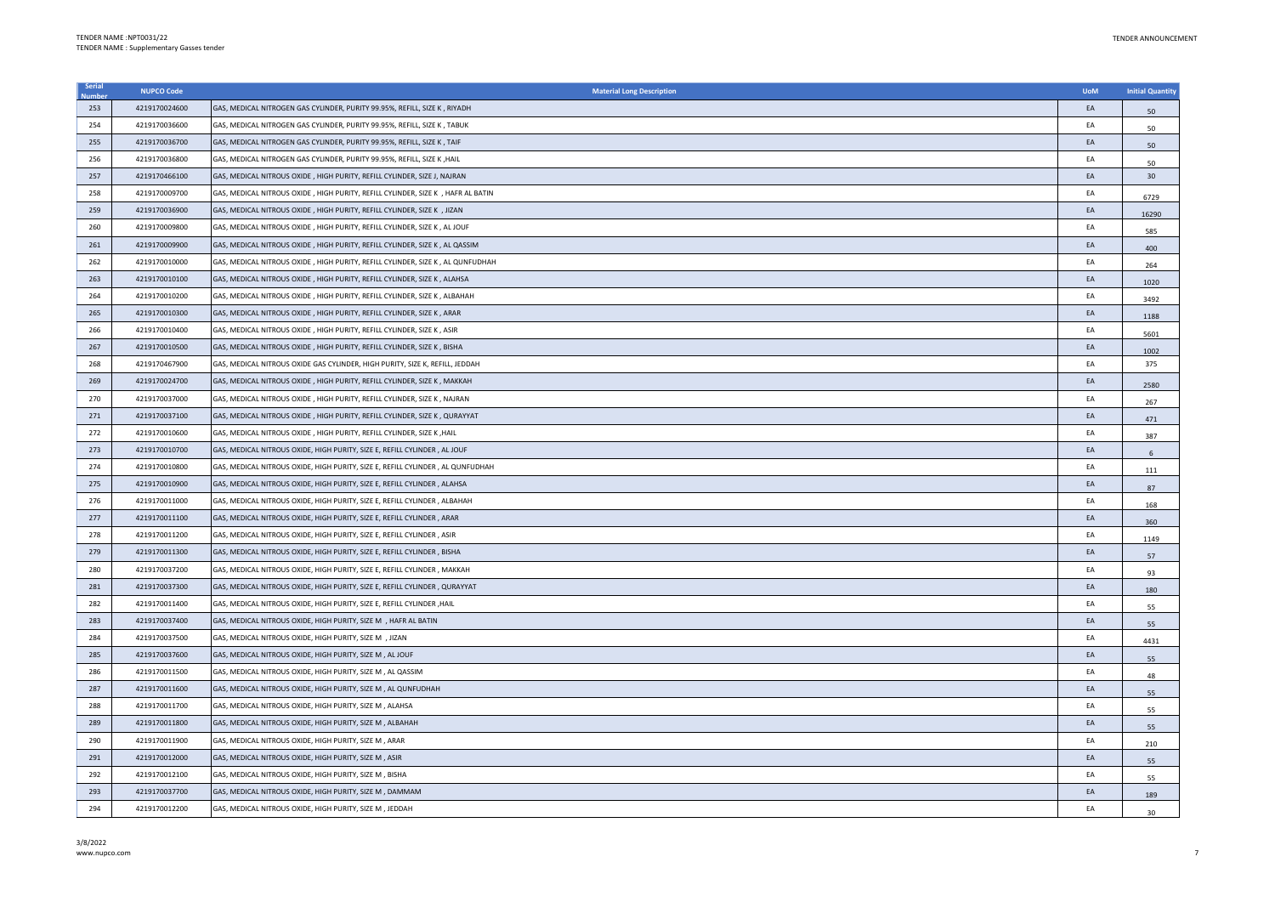| Serial | <b>NUPCO Code</b> | <b>Material Long Description</b>                                                  | <b>UoM</b> | <b>Initial Quantity</b> |
|--------|-------------------|-----------------------------------------------------------------------------------|------------|-------------------------|
| 253    | 4219170024600     | GAS, MEDICAL NITROGEN GAS CYLINDER, PURITY 99.95%, REFILL, SIZE K, RIYADH         | EA         | 50                      |
| 254    | 4219170036600     | GAS, MEDICAL NITROGEN GAS CYLINDER, PURITY 99.95%, REFILL, SIZE K, TABUK          | EA         | 50                      |
| 255    | 4219170036700     | GAS, MEDICAL NITROGEN GAS CYLINDER, PURITY 99.95%, REFILL, SIZE K, TAIF           | EA         | 50                      |
| 256    | 4219170036800     | GAS, MEDICAL NITROGEN GAS CYLINDER, PURITY 99.95%, REFILL, SIZE K , HAIL          | EA         | 50                      |
| 257    | 4219170466100     | GAS, MEDICAL NITROUS OXIDE , HIGH PURITY, REFILL CYLINDER, SIZE J, NAJRAN         | EA         | 30                      |
| 258    | 4219170009700     | GAS, MEDICAL NITROUS OXIDE , HIGH PURITY, REFILL CYLINDER, SIZE K , HAFR AL BATIN | EA         | 6729                    |
| 259    | 4219170036900     | GAS, MEDICAL NITROUS OXIDE, HIGH PURITY, REFILL CYLINDER, SIZE K, JIZAN           | EA         | 16290                   |
| 260    | 4219170009800     | GAS, MEDICAL NITROUS OXIDE , HIGH PURITY, REFILL CYLINDER, SIZE K , AL JOUF       | EA         | 585                     |
| 261    | 4219170009900     | GAS, MEDICAL NITROUS OXIDE, HIGH PURITY, REFILL CYLINDER, SIZE K, AL QASSIM       | EA         | 400                     |
| 262    | 4219170010000     | GAS, MEDICAL NITROUS OXIDE , HIGH PURITY, REFILL CYLINDER, SIZE K , AL QUNFUDHAH  | EA         | 264                     |
| 263    | 4219170010100     | GAS, MEDICAL NITROUS OXIDE, HIGH PURITY, REFILL CYLINDER, SIZE K, ALAHSA          | EA         | 1020                    |
| 264    | 4219170010200     | GAS, MEDICAL NITROUS OXIDE, HIGH PURITY, REFILL CYLINDER, SIZE K, ALBAHAH         | EA         | 3492                    |
| 265    | 4219170010300     | GAS, MEDICAL NITROUS OXIDE, HIGH PURITY, REFILL CYLINDER, SIZE K, ARAR            | EA         | 1188                    |
| 266    | 4219170010400     | GAS, MEDICAL NITROUS OXIDE, HIGH PURITY, REFILL CYLINDER, SIZE K, ASIR            | EA         | 5601                    |
| 267    | 4219170010500     | GAS, MEDICAL NITROUS OXIDE, HIGH PURITY, REFILL CYLINDER, SIZE K, BISHA           | EA         | 1002                    |
| 268    | 4219170467900     | GAS, MEDICAL NITROUS OXIDE GAS CYLINDER, HIGH PURITY, SIZE K, REFILL, JEDDAH      | EA         | 375                     |
| 269    | 4219170024700     | GAS, MEDICAL NITROUS OXIDE, HIGH PURITY, REFILL CYLINDER, SIZE K, MAKKAH          | EA         | 2580                    |
| 270    | 4219170037000     | GAS, MEDICAL NITROUS OXIDE, HIGH PURITY, REFILL CYLINDER, SIZE K, NAJRAN          | EA         | 267                     |
| 271    | 4219170037100     | GAS, MEDICAL NITROUS OXIDE, HIGH PURITY, REFILL CYLINDER, SIZE K, QURAYYAT        | EA         | 471                     |
| 272    | 4219170010600     | GAS, MEDICAL NITROUS OXIDE, HIGH PURITY, REFILL CYLINDER, SIZE K, HAIL            | EA         | 387                     |
| 273    | 4219170010700     | GAS, MEDICAL NITROUS OXIDE, HIGH PURITY, SIZE E, REFILL CYLINDER, AL JOUF         | EA         | 6                       |
| 274    | 4219170010800     | GAS, MEDICAL NITROUS OXIDE, HIGH PURITY, SIZE E, REFILL CYLINDER , AL QUNFUDHAH   | EA         | 111                     |
| 275    | 4219170010900     | GAS, MEDICAL NITROUS OXIDE, HIGH PURITY, SIZE E, REFILL CYLINDER, ALAHSA          | EA         | 87                      |
| 276    | 4219170011000     | GAS, MEDICAL NITROUS OXIDE, HIGH PURITY, SIZE E, REFILL CYLINDER, ALBAHAH         | EA         | 168                     |
| 277    | 4219170011100     | GAS, MEDICAL NITROUS OXIDE, HIGH PURITY, SIZE E, REFILL CYLINDER, ARAR            | EA         | 360                     |
| 278    | 4219170011200     | GAS, MEDICAL NITROUS OXIDE, HIGH PURITY, SIZE E, REFILL CYLINDER, ASIR            | EA         | 1149                    |
| 279    | 4219170011300     | GAS, MEDICAL NITROUS OXIDE, HIGH PURITY, SIZE E, REFILL CYLINDER , BISHA          | EA         | 57                      |
| 280    | 4219170037200     | GAS, MEDICAL NITROUS OXIDE, HIGH PURITY, SIZE E, REFILL CYLINDER , MAKKAH         | EA         | 93                      |
| 281    | 4219170037300     | GAS, MEDICAL NITROUS OXIDE, HIGH PURITY, SIZE E, REFILL CYLINDER, QURAYYAT        | FA         | 180                     |
| 282    | 4219170011400     | GAS, MEDICAL NITROUS OXIDE, HIGH PURITY, SIZE E, REFILL CYLINDER , HAIL           | EA         | 55                      |
| 283    | 4219170037400     | GAS, MEDICAL NITROUS OXIDE, HIGH PURITY, SIZE M , HAFR AL BATIN                   | EA         | 55                      |
| 284    | 4219170037500     | GAS, MEDICAL NITROUS OXIDE, HIGH PURITY, SIZE M , JIZAN                           | EA         | 4431                    |
| 285    | 4219170037600     | GAS, MEDICAL NITROUS OXIDE, HIGH PURITY, SIZE M, AL JOUF                          | EA         | 55                      |
| 286    | 4219170011500     | GAS, MEDICAL NITROUS OXIDE, HIGH PURITY, SIZE M, AL QASSIM                        | EA         | 48                      |
| 287    | 4219170011600     | GAS, MEDICAL NITROUS OXIDE, HIGH PURITY, SIZE M, AL QUNFUDHAH                     | EA         | 55                      |
| 288    | 4219170011700     | GAS, MEDICAL NITROUS OXIDE, HIGH PURITY, SIZE M, ALAHSA                           | EA         | 55                      |
| 289    | 4219170011800     | GAS, MEDICAL NITROUS OXIDE, HIGH PURITY, SIZE M, ALBAHAH                          | EA         | 55                      |
| 290    | 4219170011900     | GAS, MEDICAL NITROUS OXIDE, HIGH PURITY, SIZE M, ARAR                             | EA         | 210                     |
| 291    | 4219170012000     | GAS, MEDICAL NITROUS OXIDE, HIGH PURITY, SIZE M , ASIR                            | EA         | 55                      |
| 292    | 4219170012100     | GAS, MEDICAL NITROUS OXIDE, HIGH PURITY, SIZE M, BISHA                            | EA         | 55                      |
| 293    | 4219170037700     | GAS, MEDICAL NITROUS OXIDE, HIGH PURITY, SIZE M, DAMMAM                           | EA         | 189                     |
| 294    | 4219170012200     | GAS, MEDICAL NITROUS OXIDE, HIGH PURITY, SIZE M, JEDDAH                           | FA         | 30                      |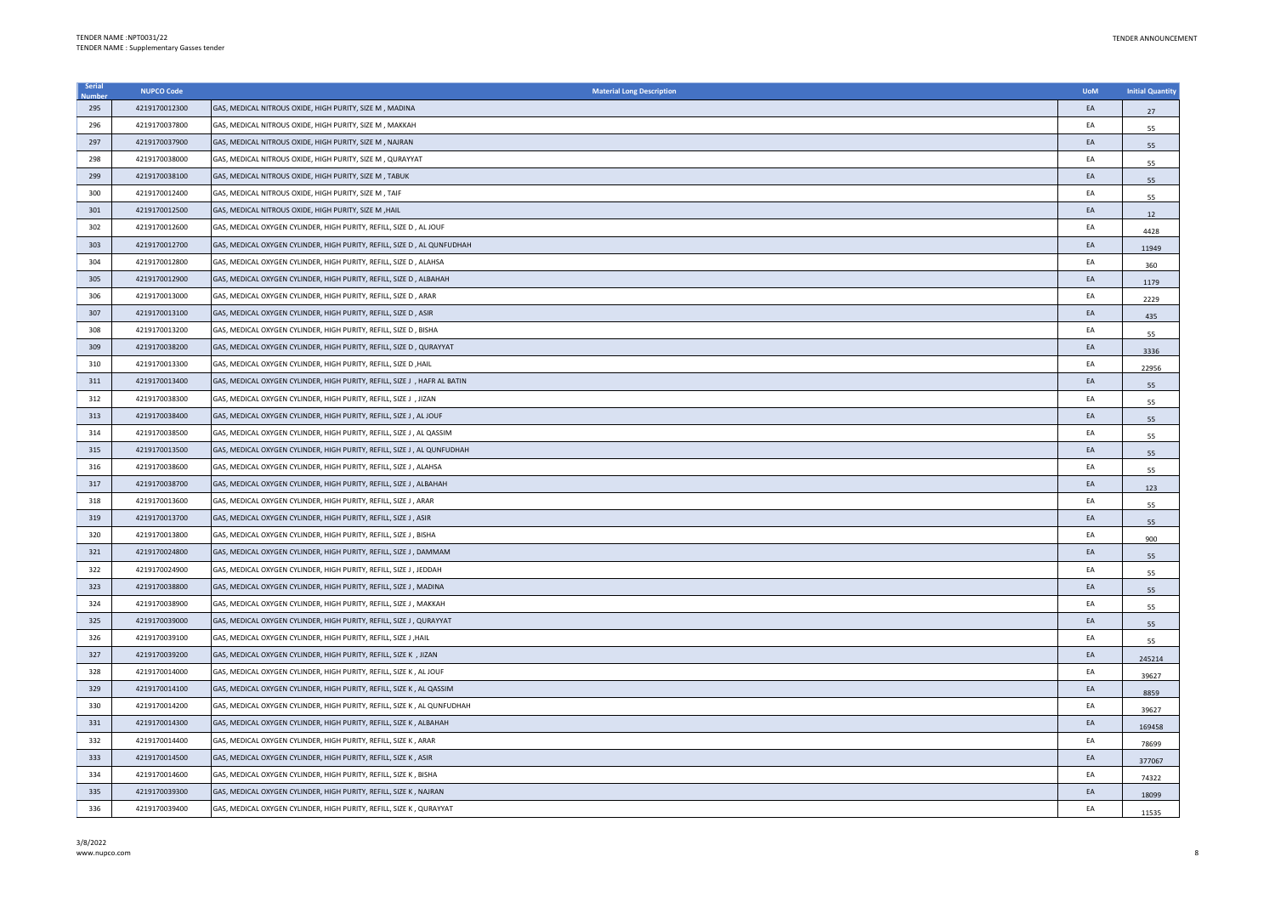| Serial | <b>NUPCO Code</b> | <b>Material Long Description</b>                                          | <b>UoM</b> | <b>Initial Quantity</b> |
|--------|-------------------|---------------------------------------------------------------------------|------------|-------------------------|
| 295    | 4219170012300     | GAS, MEDICAL NITROUS OXIDE, HIGH PURITY, SIZE M, MADINA                   | EA         | 27                      |
| 296    | 4219170037800     | GAS, MEDICAL NITROUS OXIDE, HIGH PURITY, SIZE M, MAKKAH                   | EA         | 55                      |
| 297    | 4219170037900     | GAS, MEDICAL NITROUS OXIDE, HIGH PURITY, SIZE M, NAJRAN                   | EA         | 55                      |
| 298    | 4219170038000     | GAS, MEDICAL NITROUS OXIDE, HIGH PURITY, SIZE M, QURAYYAT                 | EA         | 55                      |
| 299    | 4219170038100     | GAS, MEDICAL NITROUS OXIDE, HIGH PURITY, SIZE M, TABUK                    | EA         | 55                      |
| 300    | 4219170012400     | GAS, MEDICAL NITROUS OXIDE, HIGH PURITY, SIZE M, TAIF                     | EA         | 55                      |
| 301    | 4219170012500     | GAS, MEDICAL NITROUS OXIDE, HIGH PURITY, SIZE M , HAIL                    | EA         | 12                      |
| 302    | 4219170012600     | GAS, MEDICAL OXYGEN CYLINDER, HIGH PURITY, REFILL, SIZE D , AL JOUF       | EA         | 4428                    |
| 303    | 4219170012700     | GAS, MEDICAL OXYGEN CYLINDER, HIGH PURITY, REFILL, SIZE D, AL QUNFUDHAH   | EA         | 11949                   |
| 304    | 4219170012800     | GAS, MEDICAL OXYGEN CYLINDER, HIGH PURITY, REFILL, SIZE D , ALAHSA        | EA         | 360                     |
| 305    | 4219170012900     | GAS, MEDICAL OXYGEN CYLINDER, HIGH PURITY, REFILL, SIZE D, ALBAHAH        | EA         | 1179                    |
| 306    | 4219170013000     | GAS, MEDICAL OXYGEN CYLINDER, HIGH PURITY, REFILL, SIZE D, ARAR           | EA         | 2229                    |
| 307    | 4219170013100     | GAS, MEDICAL OXYGEN CYLINDER, HIGH PURITY, REFILL, SIZE D, ASIR           | EA         | 435                     |
| 308    | 4219170013200     | GAS, MEDICAL OXYGEN CYLINDER, HIGH PURITY, REFILL, SIZE D, BISHA          | EA         | 55                      |
| 309    | 4219170038200     | GAS, MEDICAL OXYGEN CYLINDER, HIGH PURITY, REFILL, SIZE D, QURAYYAT       | EA         | 3336                    |
| 310    | 4219170013300     | GAS, MEDICAL OXYGEN CYLINDER, HIGH PURITY, REFILL, SIZE D , HAIL          | EA         | 22956                   |
| 311    | 4219170013400     | GAS, MEDICAL OXYGEN CYLINDER, HIGH PURITY, REFILL, SIZE J , HAFR AL BATIN | EA         | 55                      |
| 312    | 4219170038300     | GAS, MEDICAL OXYGEN CYLINDER, HIGH PURITY, REFILL, SIZE J , JIZAN         | EA         | 55                      |
| 313    | 4219170038400     | GAS, MEDICAL OXYGEN CYLINDER, HIGH PURITY, REFILL, SIZE J , AL JOUF       | EA         | 55                      |
| 314    | 4219170038500     | GAS, MEDICAL OXYGEN CYLINDER, HIGH PURITY, REFILL, SIZE J , AL QASSIM     | EA         | 55                      |
| 315    | 4219170013500     | GAS, MEDICAL OXYGEN CYLINDER, HIGH PURITY, REFILL, SIZE J , AL QUNFUDHAH  | EA         | 55                      |
| 316    | 4219170038600     | GAS, MEDICAL OXYGEN CYLINDER, HIGH PURITY, REFILL, SIZE J , ALAHSA        | EA         | 55                      |
| 317    | 4219170038700     | GAS, MEDICAL OXYGEN CYLINDER, HIGH PURITY, REFILL, SIZE J , ALBAHAH       | EA         | 123                     |
| 318    | 4219170013600     | GAS, MEDICAL OXYGEN CYLINDER, HIGH PURITY, REFILL, SIZE J , ARAR          | EA         | 55                      |
| 319    | 4219170013700     | GAS, MEDICAL OXYGEN CYLINDER, HIGH PURITY, REFILL, SIZE J, ASIR           | EA         | 55                      |
| 320    | 4219170013800     | GAS, MEDICAL OXYGEN CYLINDER, HIGH PURITY, REFILL, SIZE J , BISHA         | EA         | 900                     |
| 321    | 4219170024800     | GAS, MEDICAL OXYGEN CYLINDER, HIGH PURITY, REFILL, SIZE J , DAMMAM        | EA         | 55                      |
| 322    | 4219170024900     | GAS, MEDICAL OXYGEN CYLINDER, HIGH PURITY, REFILL, SIZE J , JEDDAH        | EA         | 55                      |
| 323    | 4219170038800     | GAS, MEDICAL OXYGEN CYLINDER, HIGH PURITY, REFILL, SIZE J , MADINA        | EA         | 55                      |
| 324    | 4219170038900     | GAS, MEDICAL OXYGEN CYLINDER, HIGH PURITY, REFILL, SIZE J, MAKKAH         | EA         | 55                      |
| 325    | 4219170039000     | GAS, MEDICAL OXYGEN CYLINDER, HIGH PURITY, REFILL, SIZE J , QURAYYAT      | EA         | 55                      |
| 326    | 4219170039100     | GAS, MEDICAL OXYGEN CYLINDER, HIGH PURITY, REFILL, SIZE J , HAIL          | EA         | 55                      |
| 327    | 4219170039200     | GAS, MEDICAL OXYGEN CYLINDER, HIGH PURITY, REFILL, SIZE K , JIZAN         | EA         | 245214                  |
| 328    | 4219170014000     | GAS, MEDICAL OXYGEN CYLINDER, HIGH PURITY, REFILL, SIZE K, AL JOUF        | EA         | 39627                   |
| 329    | 4219170014100     | GAS, MEDICAL OXYGEN CYLINDER, HIGH PURITY, REFILL, SIZE K, AL QASSIM      | EA         | 8859                    |
| 330    | 4219170014200     | GAS, MEDICAL OXYGEN CYLINDER, HIGH PURITY, REFILL, SIZE K, AL QUNFUDHAH   | EA         | 39627                   |
| 331    | 4219170014300     | GAS, MEDICAL OXYGEN CYLINDER, HIGH PURITY, REFILL, SIZE K, ALBAHAH        | EA         | 169458                  |
| 332    | 4219170014400     | GAS, MEDICAL OXYGEN CYLINDER, HIGH PURITY, REFILL, SIZE K, ARAR           | EA         | 78699                   |
| 333    | 4219170014500     | GAS, MEDICAL OXYGEN CYLINDER, HIGH PURITY, REFILL, SIZE K, ASIR           | EA         | 377067                  |
| 334    | 4219170014600     | GAS, MEDICAL OXYGEN CYLINDER, HIGH PURITY, REFILL, SIZE K, BISHA          | EA         | 74322                   |
| 335    | 4219170039300     | GAS, MEDICAL OXYGEN CYLINDER, HIGH PURITY, REFILL, SIZE K, NAJRAN         | EA         | 18099                   |
| 336    | 4219170039400     | GAS, MEDICAL OXYGEN CYLINDER, HIGH PURITY, REFILL, SIZE K, QURAYYAT       | EA         | 11535                   |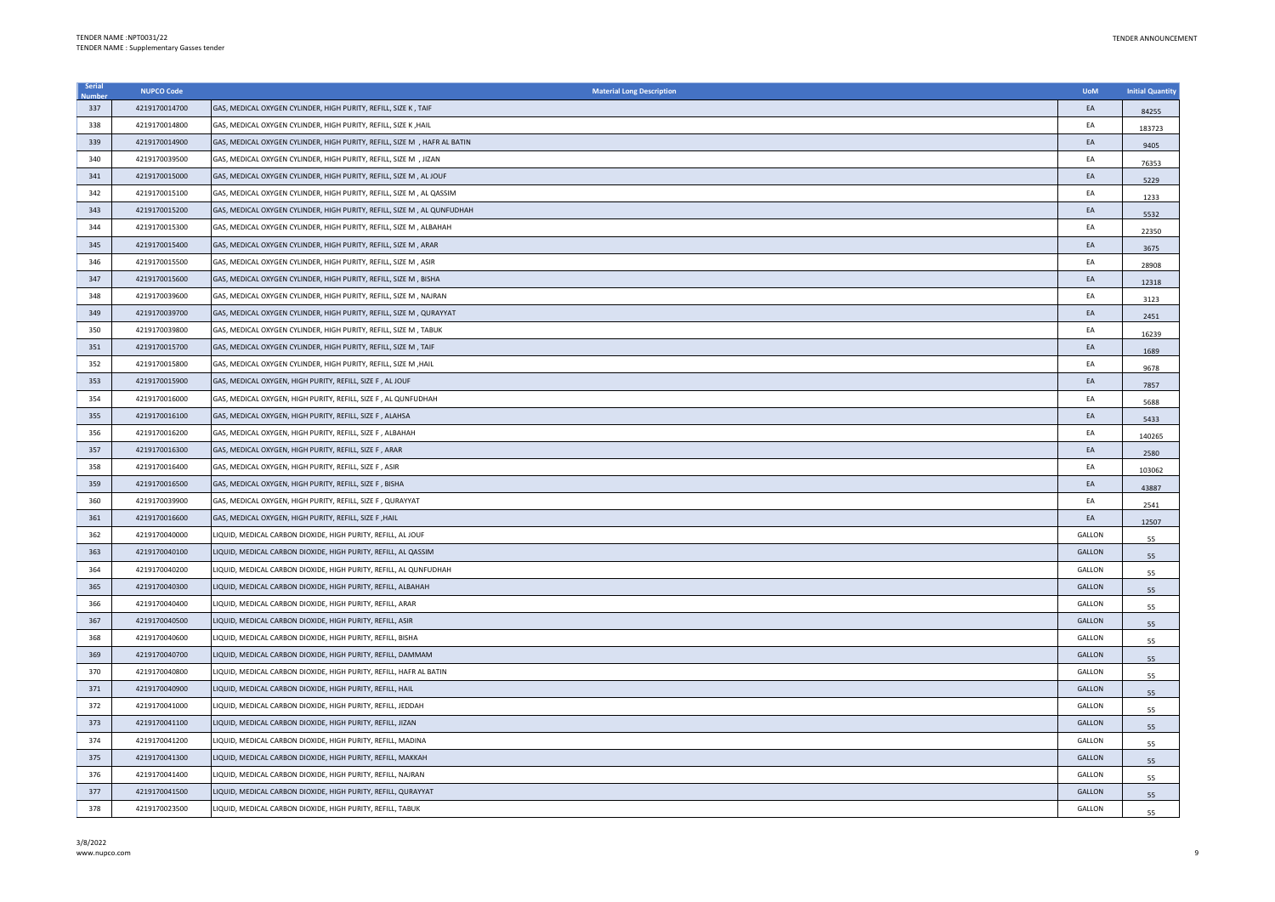| Serial | <b>NUPCO Code</b> | <b>Material Long Description</b>                                          | <b>UoM</b>    | <b>Initial Quantity</b> |
|--------|-------------------|---------------------------------------------------------------------------|---------------|-------------------------|
| 337    | 4219170014700     | GAS, MEDICAL OXYGEN CYLINDER, HIGH PURITY, REFILL, SIZE K, TAIF           | EA            | 84255                   |
| 338    | 4219170014800     | GAS, MEDICAL OXYGEN CYLINDER, HIGH PURITY, REFILL, SIZE K , HAIL          | EA            | 183723                  |
| 339    | 4219170014900     | GAS, MEDICAL OXYGEN CYLINDER, HIGH PURITY, REFILL, SIZE M , HAFR AL BATIN | EA            | 9405                    |
| 340    | 4219170039500     | GAS, MEDICAL OXYGEN CYLINDER, HIGH PURITY, REFILL, SIZE M , JIZAN         | EA            | 76353                   |
| 341    | 4219170015000     | GAS, MEDICAL OXYGEN CYLINDER, HIGH PURITY, REFILL, SIZE M , AL JOUF       | EA            | 5229                    |
| 342    | 4219170015100     | GAS, MEDICAL OXYGEN CYLINDER, HIGH PURITY, REFILL, SIZE M , AL QASSIM     | EA            | 1233                    |
| 343    | 4219170015200     | GAS, MEDICAL OXYGEN CYLINDER, HIGH PURITY, REFILL, SIZE M, AL QUNFUDHAH   | EA            | 5532                    |
| 344    | 4219170015300     | GAS, MEDICAL OXYGEN CYLINDER, HIGH PURITY, REFILL, SIZE M , ALBAHAH       | EA            | 22350                   |
| 345    | 4219170015400     | GAS, MEDICAL OXYGEN CYLINDER, HIGH PURITY, REFILL, SIZE M, ARAR           | EA            | 3675                    |
| 346    | 4219170015500     | GAS, MEDICAL OXYGEN CYLINDER, HIGH PURITY, REFILL, SIZE M , ASIR          | EA            | 28908                   |
| 347    | 4219170015600     | GAS, MEDICAL OXYGEN CYLINDER, HIGH PURITY, REFILL, SIZE M, BISHA          | EA            | 12318                   |
| 348    | 4219170039600     | GAS, MEDICAL OXYGEN CYLINDER, HIGH PURITY, REFILL, SIZE M , NAJRAN        | EA            | 3123                    |
| 349    | 4219170039700     | GAS, MEDICAL OXYGEN CYLINDER, HIGH PURITY, REFILL, SIZE M , QURAYYAT      | EA            | 2451                    |
| 350    | 4219170039800     | GAS, MEDICAL OXYGEN CYLINDER, HIGH PURITY, REFILL, SIZE M, TABUK          | EA            | 16239                   |
| 351    | 4219170015700     | GAS, MEDICAL OXYGEN CYLINDER, HIGH PURITY, REFILL, SIZE M, TAIF           | EA            | 1689                    |
| 352    | 4219170015800     | GAS, MEDICAL OXYGEN CYLINDER, HIGH PURITY, REFILL, SIZE M, HAIL           | EA            | 9678                    |
| 353    | 4219170015900     | GAS, MEDICAL OXYGEN, HIGH PURITY, REFILL, SIZE F, AL JOUF                 | EA            | 7857                    |
| 354    | 4219170016000     | GAS, MEDICAL OXYGEN, HIGH PURITY, REFILL, SIZE F, AL QUNFUDHAH            | EA            | 5688                    |
| 355    | 4219170016100     | GAS, MEDICAL OXYGEN, HIGH PURITY, REFILL, SIZE F, ALAHSA                  | EA            | 5433                    |
| 356    | 4219170016200     | GAS, MEDICAL OXYGEN, HIGH PURITY, REFILL, SIZE F, ALBAHAH                 | EA            | 140265                  |
| 357    | 4219170016300     | GAS, MEDICAL OXYGEN, HIGH PURITY, REFILL, SIZE F, ARAR                    | EA            | 2580                    |
| 358    | 4219170016400     | GAS, MEDICAL OXYGEN, HIGH PURITY, REFILL, SIZE F, ASIR                    | EA            | 103062                  |
| 359    | 4219170016500     | GAS, MEDICAL OXYGEN, HIGH PURITY, REFILL, SIZE F, BISHA                   | EA            | 43887                   |
| 360    | 4219170039900     | GAS, MEDICAL OXYGEN, HIGH PURITY, REFILL, SIZE F, QURAYYAT                | EA            | 2541                    |
| 361    | 4219170016600     | GAS, MEDICAL OXYGEN, HIGH PURITY, REFILL, SIZE F , HAIL                   | EA            | 12507                   |
| 362    | 4219170040000     | LIQUID, MEDICAL CARBON DIOXIDE, HIGH PURITY, REFILL, AL JOUF              | GALLON        | 55                      |
| 363    | 4219170040100     | LIQUID, MEDICAL CARBON DIOXIDE, HIGH PURITY, REFILL, AL QASSIM            | <b>GALLON</b> | 55                      |
| 364    | 4219170040200     | LIQUID, MEDICAL CARBON DIOXIDE, HIGH PURITY, REFILL, AL QUNFUDHAH         | GALLON        | 55                      |
| 365    | 4219170040300     | LIQUID, MEDICAL CARBON DIOXIDE, HIGH PURITY, REFILL, ALBAHAH              | <b>GALLON</b> | 55                      |
| 366    | 4219170040400     | LIQUID, MEDICAL CARBON DIOXIDE, HIGH PURITY, REFILL, ARAR                 | GALLON        | 55                      |
| 367    | 4219170040500     | LIQUID, MEDICAL CARBON DIOXIDE, HIGH PURITY, REFILL, ASIR                 | <b>GALLON</b> | 55                      |
| 368    | 4219170040600     | LIQUID, MEDICAL CARBON DIOXIDE, HIGH PURITY, REFILL, BISHA                | GALLON        | 55                      |
| 369    | 4219170040700     | LIQUID, MEDICAL CARBON DIOXIDE, HIGH PURITY, REFILL, DAMMAM               | GALLON        | 55                      |
| 370    | 4219170040800     | LIQUID, MEDICAL CARBON DIOXIDE, HIGH PURITY, REFILL, HAFR AL BATIN        | GALLON        | 55                      |
| 371    | 4219170040900     | LIQUID, MEDICAL CARBON DIOXIDE, HIGH PURITY, REFILL, HAIL                 | <b>GALLON</b> | 55                      |
| 372    | 4219170041000     | LIQUID, MEDICAL CARBON DIOXIDE, HIGH PURITY, REFILL, JEDDAH               | GALLON        | 55                      |
| 373    | 4219170041100     | LIQUID, MEDICAL CARBON DIOXIDE, HIGH PURITY, REFILL, JIZAN                | <b>GALLON</b> | 55                      |
| 374    | 4219170041200     | LIQUID, MEDICAL CARBON DIOXIDE, HIGH PURITY, REFILL, MADINA               | GALLON        | 55                      |
| 375    | 4219170041300     | LIQUID, MEDICAL CARBON DIOXIDE, HIGH PURITY, REFILL, MAKKAH               | GALLON        | 55                      |
| 376    | 4219170041400     | LIQUID, MEDICAL CARBON DIOXIDE, HIGH PURITY, REFILL, NAJRAN               | <b>GALLON</b> | 55                      |
| 377    | 4219170041500     | LIQUID, MEDICAL CARBON DIOXIDE, HIGH PURITY, REFILL, QURAYYAT             | GALLON        | 55                      |
| 378    | 4219170023500     | LIQUID, MEDICAL CARBON DIOXIDE, HIGH PURITY, REFILL, TABUK                | GALLON        | 55                      |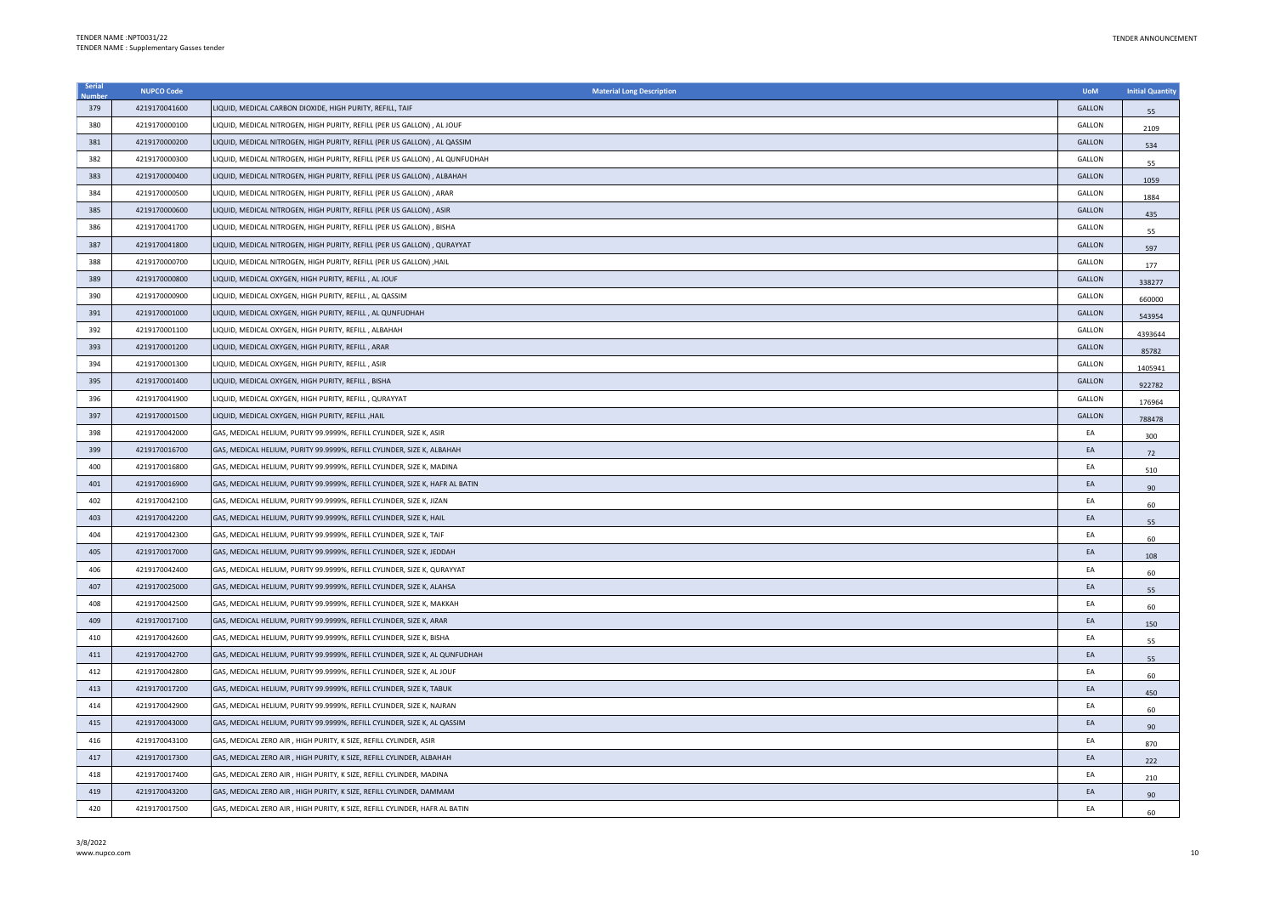| Serial | <b>NUPCO Code</b> | <b>Material Long Description</b>                                             | <b>UoM</b>    | <b>Initial Quantity</b> |
|--------|-------------------|------------------------------------------------------------------------------|---------------|-------------------------|
| 379    | 4219170041600     | LIQUID, MEDICAL CARBON DIOXIDE, HIGH PURITY, REFILL, TAIF                    | <b>GALLON</b> | 55                      |
| 380    | 4219170000100     | LIQUID, MEDICAL NITROGEN, HIGH PURITY, REFILL (PER US GALLON), AL JOUF       | GALLON        | 2109                    |
| 381    | 4219170000200     | LIQUID, MEDICAL NITROGEN, HIGH PURITY, REFILL (PER US GALLON) , AL QASSIM    | <b>GALLON</b> | 534                     |
| 382    | 4219170000300     | LIQUID, MEDICAL NITROGEN, HIGH PURITY, REFILL (PER US GALLON) , AL QUNFUDHAH | GALLON        | 55                      |
| 383    | 4219170000400     | LIQUID, MEDICAL NITROGEN, HIGH PURITY, REFILL (PER US GALLON) , ALBAHAH      | GALLON        | 1059                    |
| 384    | 4219170000500     | LIQUID, MEDICAL NITROGEN, HIGH PURITY, REFILL (PER US GALLON) , ARAR         | GALLON        | 1884                    |
| 385    | 4219170000600     | LIQUID, MEDICAL NITROGEN, HIGH PURITY, REFILL (PER US GALLON) , ASIR         | <b>GALLON</b> | 435                     |
| 386    | 4219170041700     | LIQUID, MEDICAL NITROGEN, HIGH PURITY, REFILL (PER US GALLON) , BISHA        | <b>GALLON</b> | 55                      |
| 387    | 4219170041800     | LIQUID, MEDICAL NITROGEN, HIGH PURITY, REFILL (PER US GALLON) , QURAYYAT     | GALLON        | 597                     |
| 388    | 4219170000700     | LIQUID, MEDICAL NITROGEN, HIGH PURITY, REFILL (PER US GALLON) ,HAIL          | GALLON        | 177                     |
| 389    | 4219170000800     | LIQUID, MEDICAL OXYGEN, HIGH PURITY, REFILL, AL JOUF                         | GALLON        | 338277                  |
| 390    | 4219170000900     | LIQUID, MEDICAL OXYGEN, HIGH PURITY, REFILL, AL QASSIM                       | GALLON        | 660000                  |
| 391    | 4219170001000     | LIQUID, MEDICAL OXYGEN, HIGH PURITY, REFILL, AL QUNFUDHAH                    | <b>GALLON</b> | 543954                  |
| 392    | 4219170001100     | LIQUID, MEDICAL OXYGEN, HIGH PURITY, REFILL, ALBAHAH                         | GALLON        | 4393644                 |
| 393    | 4219170001200     | LIQUID, MEDICAL OXYGEN, HIGH PURITY, REFILL, ARAR                            | <b>GALLON</b> | 85782                   |
| 394    | 4219170001300     | LIQUID, MEDICAL OXYGEN, HIGH PURITY, REFILL, ASIR                            | <b>GALLON</b> | 1405941                 |
| 395    | 4219170001400     | LIQUID, MEDICAL OXYGEN, HIGH PURITY, REFILL, BISHA                           | <b>GALLON</b> | 922782                  |
| 396    | 4219170041900     | IQUID, MEDICAL OXYGEN, HIGH PURITY, REFILL, QURAYYAT                         | GALLON        | 176964                  |
| 397    | 4219170001500     | LIQUID, MEDICAL OXYGEN, HIGH PURITY, REFILL , HAIL                           | GALLON        | 788478                  |
| 398    | 4219170042000     | GAS, MEDICAL HELIUM, PURITY 99.9999%, REFILL CYLINDER, SIZE K, ASIR          | EA            | 300                     |
| 399    | 4219170016700     | GAS, MEDICAL HELIUM, PURITY 99.9999%, REFILL CYLINDER, SIZE K, ALBAHAH       | EA            | 72                      |
| 400    | 4219170016800     | GAS, MEDICAL HELIUM, PURITY 99.9999%, REFILL CYLINDER, SIZE K, MADINA        | EA            | 510                     |
| 401    | 4219170016900     | GAS, MEDICAL HELIUM, PURITY 99.9999%, REFILL CYLINDER, SIZE K, HAFR AL BATIN | EA            | 90                      |
| 402    | 4219170042100     | GAS, MEDICAL HELIUM, PURITY 99.9999%, REFILL CYLINDER, SIZE K, JIZAN         | EA            | 60                      |
| 403    | 4219170042200     | GAS, MEDICAL HELIUM, PURITY 99.9999%, REFILL CYLINDER, SIZE K, HAIL          | EA            | 55                      |
| 404    | 4219170042300     | GAS, MEDICAL HELIUM, PURITY 99.9999%, REFILL CYLINDER, SIZE K, TAIF          | EA            | 60                      |
| 405    | 4219170017000     | GAS, MEDICAL HELIUM, PURITY 99.9999%, REFILL CYLINDER, SIZE K, JEDDAH        | EA            | 108                     |
| 406    | 4219170042400     | GAS, MEDICAL HELIUM, PURITY 99.9999%, REFILL CYLINDER, SIZE K, QURAYYAT      | EA            | 60                      |
| 407    | 4219170025000     | GAS, MEDICAL HELIUM, PURITY 99.9999%, REFILL CYLINDER, SIZE K, ALAHSA        | EA            | 55                      |
| 408    | 4219170042500     | GAS, MEDICAL HELIUM, PURITY 99.9999%, REFILL CYLINDER, SIZE K, MAKKAH        | EA            | 60                      |
| 409    | 4219170017100     | GAS, MEDICAL HELIUM, PURITY 99.9999%, REFILL CYLINDER, SIZE K, ARAR          | EA            | 150                     |
| 410    | 4219170042600     | GAS, MEDICAL HELIUM, PURITY 99.9999%, REFILL CYLINDER, SIZE K, BISHA         | EA            | 55                      |
| 411    | 4219170042700     | GAS, MEDICAL HELIUM, PURITY 99.9999%, REFILL CYLINDER, SIZE K, AL QUNFUDHAH  | EA            | 55                      |
| 412    | 4219170042800     | GAS, MEDICAL HELIUM, PURITY 99.9999%, REFILL CYLINDER, SIZE K, AL JOUF       | EA            | 60                      |
| 413    | 4219170017200     | GAS, MEDICAL HELIUM, PURITY 99.9999%, REFILL CYLINDER, SIZE K, TABUK         | EA            | 450                     |
| 414    | 4219170042900     | GAS, MEDICAL HELIUM, PURITY 99.9999%, REFILL CYLINDER, SIZE K, NAJRAN        | EA            | 60                      |
| 415    | 4219170043000     | GAS, MEDICAL HELIUM, PURITY 99.9999%, REFILL CYLINDER, SIZE K, AL QASSIM     | EA            | 90                      |
| 416    | 4219170043100     | GAS, MEDICAL ZERO AIR, HIGH PURITY, K SIZE, REFILL CYLINDER, ASIR            | EA            | 870                     |
| 417    | 4219170017300     | GAS, MEDICAL ZERO AIR , HIGH PURITY, K SIZE, REFILL CYLINDER, ALBAHAH        | EA            | 222                     |
| 418    | 4219170017400     | GAS, MEDICAL ZERO AIR, HIGH PURITY, K SIZE, REFILL CYLINDER, MADINA          | EA            | 210                     |
| 419    | 4219170043200     | GAS, MEDICAL ZERO AIR, HIGH PURITY, K SIZE, REFILL CYLINDER, DAMMAM          | EA            | 90                      |
| 420    | 4219170017500     | GAS, MEDICAL ZERO AIR, HIGH PURITY, K SIZE, REFILL CYLINDER, HAFR AL BATIN   | EA            | 60                      |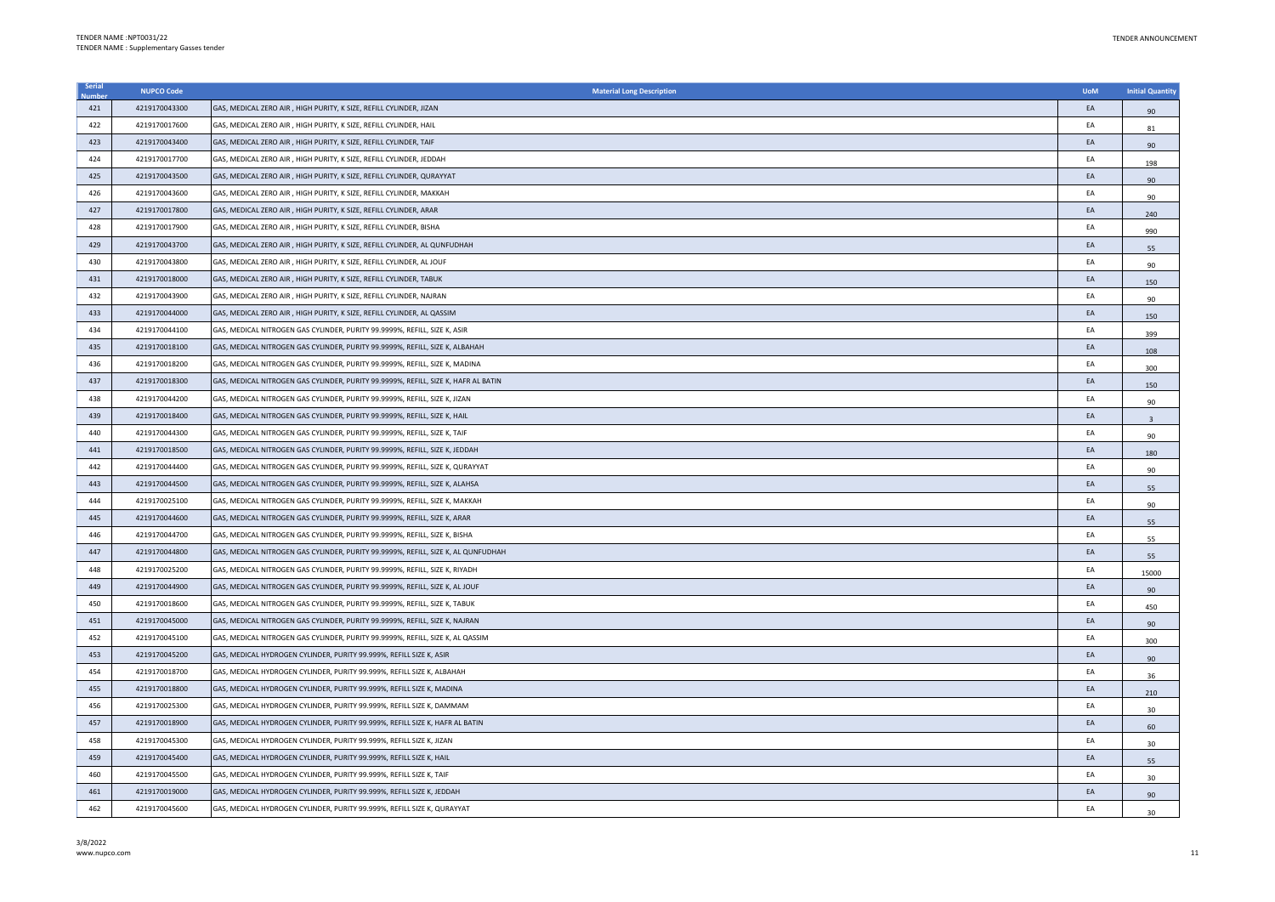| Serial | <b>NUPCO Code</b> | <b>Material Long Description</b>                                                   | <b>UoM</b> | <b>Initial Quantity</b> |
|--------|-------------------|------------------------------------------------------------------------------------|------------|-------------------------|
| 421    | 4219170043300     | GAS, MEDICAL ZERO AIR, HIGH PURITY, K SIZE, REFILL CYLINDER, JIZAN                 | EA         | 90                      |
| 422    | 4219170017600     | GAS, MEDICAL ZERO AIR, HIGH PURITY, K SIZE, REFILL CYLINDER, HAIL                  | EA         | 81                      |
| 423    | 4219170043400     | GAS, MEDICAL ZERO AIR, HIGH PURITY, K SIZE, REFILL CYLINDER, TAIF                  | EA         | 90                      |
| 424    | 4219170017700     | GAS, MEDICAL ZERO AIR, HIGH PURITY, K SIZE, REFILL CYLINDER, JEDDAH                | EA         | 198                     |
| 425    | 4219170043500     | GAS, MEDICAL ZERO AIR, HIGH PURITY, K SIZE, REFILL CYLINDER, QURAYYAT              | EA         | 90                      |
| 426    | 4219170043600     | GAS, MEDICAL ZERO AIR, HIGH PURITY, K SIZE, REFILL CYLINDER, MAKKAH                | EA         | 90                      |
| 427    | 4219170017800     | GAS, MEDICAL ZERO AIR, HIGH PURITY, K SIZE, REFILL CYLINDER, ARAR                  | EA         | 240                     |
| 428    | 4219170017900     | GAS, MEDICAL ZERO AIR , HIGH PURITY, K SIZE, REFILL CYLINDER, BISHA                | EA         | 990                     |
| 429    | 4219170043700     | GAS, MEDICAL ZERO AIR, HIGH PURITY, K SIZE, REFILL CYLINDER, AL QUNFUDHAH          | EA         | 55                      |
| 430    | 4219170043800     | GAS, MEDICAL ZERO AIR, HIGH PURITY, K SIZE, REFILL CYLINDER, AL JOUF               | EA         | 90                      |
| 431    | 4219170018000     | GAS, MEDICAL ZERO AIR, HIGH PURITY, K SIZE, REFILL CYLINDER, TABUK                 | EA         | 150                     |
| 432    | 4219170043900     | GAS, MEDICAL ZERO AIR, HIGH PURITY, K SIZE, REFILL CYLINDER, NAJRAN                | EA         | 90                      |
| 433    | 4219170044000     | GAS, MEDICAL ZERO AIR, HIGH PURITY, K SIZE, REFILL CYLINDER, AL QASSIM             | EA         | 150                     |
| 434    | 4219170044100     | GAS, MEDICAL NITROGEN GAS CYLINDER, PURITY 99.9999%, REFILL, SIZE K, ASIR          | EA         | 399                     |
| 435    | 4219170018100     | GAS, MEDICAL NITROGEN GAS CYLINDER, PURITY 99.9999%, REFILL, SIZE K, ALBAHAH       | EA         | 108                     |
| 436    | 4219170018200     | GAS, MEDICAL NITROGEN GAS CYLINDER, PURITY 99.9999%, REFILL, SIZE K, MADINA        | EA         | 300                     |
| 437    | 4219170018300     | GAS, MEDICAL NITROGEN GAS CYLINDER, PURITY 99.9999%, REFILL, SIZE K, HAFR AL BATIN | EA         | 150                     |
| 438    | 4219170044200     | GAS, MEDICAL NITROGEN GAS CYLINDER, PURITY 99.9999%, REFILL, SIZE K, JIZAN         | EA         | 90                      |
| 439    | 4219170018400     | GAS, MEDICAL NITROGEN GAS CYLINDER, PURITY 99.9999%, REFILL, SIZE K, HAIL          | EA         | 3                       |
| 440    | 4219170044300     | GAS, MEDICAL NITROGEN GAS CYLINDER, PURITY 99.9999%, REFILL, SIZE K, TAIF          | EA         | 90                      |
| 441    | 4219170018500     | GAS, MEDICAL NITROGEN GAS CYLINDER, PURITY 99.9999%, REFILL, SIZE K, JEDDAH        | EA         | 180                     |
| 442    | 4219170044400     | GAS, MEDICAL NITROGEN GAS CYLINDER, PURITY 99.9999%, REFILL, SIZE K, QURAYYAT      | EA         | 90                      |
| 443    | 4219170044500     | GAS, MEDICAL NITROGEN GAS CYLINDER, PURITY 99.9999%, REFILL, SIZE K, ALAHSA        | EA         | 55                      |
| 444    | 4219170025100     | GAS, MEDICAL NITROGEN GAS CYLINDER, PURITY 99.9999%, REFILL, SIZE K, MAKKAH        | EA         | 90                      |
| 445    | 4219170044600     | GAS, MEDICAL NITROGEN GAS CYLINDER, PURITY 99.9999%, REFILL, SIZE K, ARAR          | EA         | 55                      |
| 446    | 4219170044700     | GAS, MEDICAL NITROGEN GAS CYLINDER, PURITY 99.9999%, REFILL, SIZE K, BISHA         | EA         | 55                      |
| 447    | 4219170044800     | GAS, MEDICAL NITROGEN GAS CYLINDER, PURITY 99.9999%, REFILL, SIZE K, AL QUNFUDHAH  | EA         | 55                      |
| 448    | 4219170025200     | GAS, MEDICAL NITROGEN GAS CYLINDER, PURITY 99.9999%, REFILL, SIZE K, RIYADH        | EA         | 15000                   |
| 449    | 4219170044900     | GAS, MEDICAL NITROGEN GAS CYLINDER, PURITY 99.9999%, REFILL, SIZE K, AL JOUF       | EA         | 90                      |
| 450    | 4219170018600     | GAS, MEDICAL NITROGEN GAS CYLINDER, PURITY 99.9999%, REFILL, SIZE K, TABUK         | EA         | 450                     |
| 451    | 4219170045000     | GAS, MEDICAL NITROGEN GAS CYLINDER, PURITY 99.9999%, REFILL, SIZE K, NAJRAN        | EA         | 90                      |
| 452    | 4219170045100     | GAS, MEDICAL NITROGEN GAS CYLINDER, PURITY 99.9999%, REFILL, SIZE K, AL QASSIM     | EA         | 300                     |
| 453    | 4219170045200     | GAS, MEDICAL HYDROGEN CYLINDER, PURITY 99.999%, REFILL SIZE K, ASIR                | EA         | 90                      |
| 454    | 4219170018700     | GAS, MEDICAL HYDROGEN CYLINDER, PURITY 99.999%, REFILL SIZE K, ALBAHAH             | EA         | 36                      |
| 455    | 4219170018800     | GAS, MEDICAL HYDROGEN CYLINDER, PURITY 99.999%, REFILL SIZE K, MADINA              | EA         | 210                     |
| 456    | 4219170025300     | GAS, MEDICAL HYDROGEN CYLINDER, PURITY 99.999%, REFILL SIZE K, DAMMAM              | EA         | 30                      |
| 457    | 4219170018900     | GAS, MEDICAL HYDROGEN CYLINDER, PURITY 99.999%, REFILL SIZE K, HAFR AL BATIN       | EA         | 60                      |
| 458    | 4219170045300     | GAS, MEDICAL HYDROGEN CYLINDER, PURITY 99.999%, REFILL SIZE K, JIZAN               | EA         | 30                      |
| 459    | 4219170045400     | GAS, MEDICAL HYDROGEN CYLINDER, PURITY 99.999%, REFILL SIZE K, HAIL                | EA         | 55                      |
| 460    | 4219170045500     | GAS, MEDICAL HYDROGEN CYLINDER, PURITY 99.999%, REFILL SIZE K, TAIF                | EA         | 30                      |
| 461    | 4219170019000     | GAS, MEDICAL HYDROGEN CYLINDER, PURITY 99.999%, REFILL SIZE K, JEDDAH              | EA         | 90                      |
| 462    | 4219170045600     | GAS, MEDICAL HYDROGEN CYLINDER, PURITY 99.999%, REFILL SIZE K, QURAYYAT            | FA         | 30                      |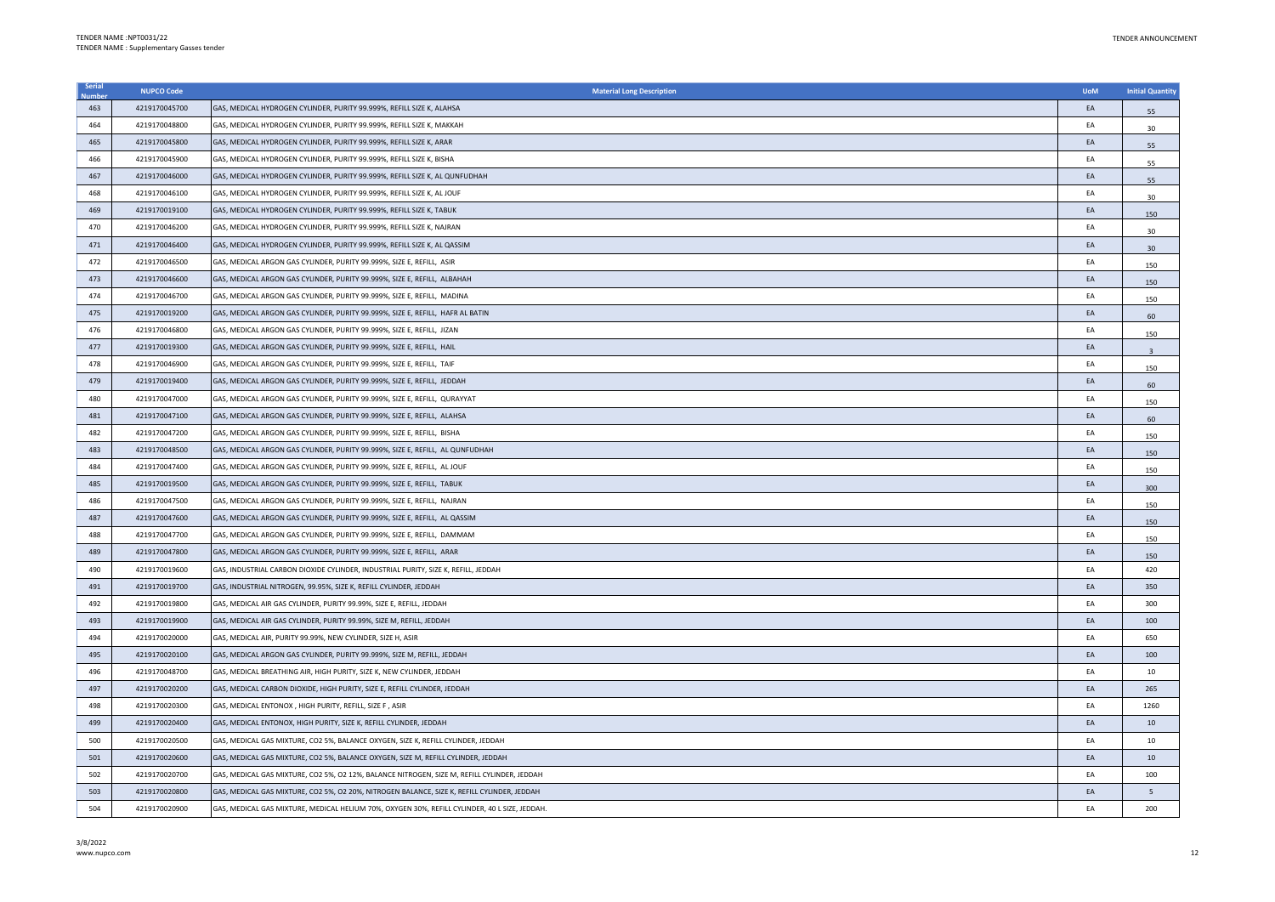| Serial | <b>NUPCO Code</b> | <b>Material Long Description</b>                                                              | <b>UoM</b> | <b>Initial Quantity</b> |
|--------|-------------------|-----------------------------------------------------------------------------------------------|------------|-------------------------|
| 463    | 4219170045700     | GAS, MEDICAL HYDROGEN CYLINDER, PURITY 99.999%, REFILL SIZE K, ALAHSA                         | EA         | 55                      |
| 464    | 4219170048800     | GAS, MEDICAL HYDROGEN CYLINDER, PURITY 99.999%, REFILL SIZE K, MAKKAH                         | EA         | 30                      |
| 465    | 4219170045800     | GAS, MEDICAL HYDROGEN CYLINDER, PURITY 99.999%, REFILL SIZE K, ARAR                           | EA         | 55                      |
| 466    | 4219170045900     | GAS, MEDICAL HYDROGEN CYLINDER, PURITY 99.999%, REFILL SIZE K, BISHA                          | EA         | 55                      |
| 467    | 4219170046000     | GAS, MEDICAL HYDROGEN CYLINDER, PURITY 99.999%, REFILL SIZE K, AL QUNFUDHAH                   | EA         | 55                      |
| 468    | 4219170046100     | GAS, MEDICAL HYDROGEN CYLINDER, PURITY 99.999%, REFILL SIZE K, AL JOUF                        | EA         | 30                      |
| 469    | 4219170019100     | GAS, MEDICAL HYDROGEN CYLINDER, PURITY 99.999%, REFILL SIZE K, TABUK                          | EA         | 150                     |
| 470    | 4219170046200     | GAS, MEDICAL HYDROGEN CYLINDER, PURITY 99.999%, REFILL SIZE K, NAJRAN                         | EA         | 30                      |
| 471    | 4219170046400     | GAS, MEDICAL HYDROGEN CYLINDER, PURITY 99.999%, REFILL SIZE K, AL QASSIM                      | EA         | 30                      |
| 472    | 4219170046500     | GAS, MEDICAL ARGON GAS CYLINDER, PURITY 99.999%, SIZE E, REFILL, ASIR                         | EA         | 150                     |
| 473    | 4219170046600     | GAS, MEDICAL ARGON GAS CYLINDER, PURITY 99.999%, SIZE E, REFILL, ALBAHAH                      | EA         | 150                     |
| 474    | 4219170046700     | GAS, MEDICAL ARGON GAS CYLINDER, PURITY 99.999%, SIZE E, REFILL, MADINA                       | EA         | 150                     |
| 475    | 4219170019200     | GAS, MEDICAL ARGON GAS CYLINDER, PURITY 99.999%, SIZE E, REFILL, HAFR AL BATIN                | EA         | 60                      |
| 476    | 4219170046800     | GAS, MEDICAL ARGON GAS CYLINDER, PURITY 99.999%, SIZE E, REFILL, JIZAN                        | EA         | 150                     |
| 477    | 4219170019300     | GAS, MEDICAL ARGON GAS CYLINDER, PURITY 99.999%, SIZE E, REFILL, HAIL                         | EA         | $\overline{3}$          |
| 478    | 4219170046900     | GAS, MEDICAL ARGON GAS CYLINDER, PURITY 99.999%, SIZE E, REFILL, TAIF                         | EA         | 150                     |
| 479    | 4219170019400     | GAS, MEDICAL ARGON GAS CYLINDER, PURITY 99.999%, SIZE E, REFILL, JEDDAH                       | EA         | 60                      |
| 480    | 4219170047000     | GAS, MEDICAL ARGON GAS CYLINDER, PURITY 99.999%, SIZE E, REFILL, QURAYYAT                     | EA         | 150                     |
| 481    | 4219170047100     | GAS, MEDICAL ARGON GAS CYLINDER, PURITY 99.999%, SIZE E, REFILL, ALAHSA                       | EA         | 60                      |
| 482    | 4219170047200     | GAS, MEDICAL ARGON GAS CYLINDER, PURITY 99.999%, SIZE E, REFILL, BISHA                        | EA         | 150                     |
| 483    | 4219170048500     | GAS, MEDICAL ARGON GAS CYLINDER, PURITY 99.999%, SIZE E, REFILL, AL QUNFUDHAH                 | EA         | 150                     |
| 484    | 4219170047400     | GAS, MEDICAL ARGON GAS CYLINDER, PURITY 99.999%, SIZE E, REFILL, AL JOUF                      | EA         | 150                     |
| 485    | 4219170019500     | GAS, MEDICAL ARGON GAS CYLINDER, PURITY 99.999%, SIZE E, REFILL, TABUK                        | EA         | 300                     |
| 486    | 4219170047500     | GAS, MEDICAL ARGON GAS CYLINDER, PURITY 99.999%, SIZE E, REFILL, NAJRAN                       | EA         | 150                     |
| 487    | 4219170047600     | GAS, MEDICAL ARGON GAS CYLINDER, PURITY 99.999%, SIZE E, REFILL, AL QASSIM                    | EA         | 150                     |
| 488    | 4219170047700     | GAS, MEDICAL ARGON GAS CYLINDER, PURITY 99,999%, SIZE E, REFILL, DAMMAM                       | EA         | 150                     |
| 489    | 4219170047800     | GAS, MEDICAL ARGON GAS CYLINDER, PURITY 99.999%, SIZE E, REFILL, ARAR                         | EA         | 150                     |
| 490    | 4219170019600     | GAS, INDUSTRIAL CARBON DIOXIDE CYLINDER, INDUSTRIAL PURITY, SIZE K, REFILL, JEDDAH            | EA         | 420                     |
| 491    | 4219170019700     | GAS, INDUSTRIAL NITROGEN, 99.95%, SIZE K, REFILL CYLINDER, JEDDAH                             | EA         | 350                     |
| 492    | 4219170019800     | GAS, MEDICAL AIR GAS CYLINDER, PURITY 99.99%, SIZE E, REFILL, JEDDAH                          | EA         | 300                     |
| 493    | 4219170019900     | GAS, MEDICAL AIR GAS CYLINDER, PURITY 99.99%, SIZE M, REFILL, JEDDAH                          | EA         | 100                     |
| 494    | 4219170020000     | GAS, MEDICAL AIR, PURITY 99.99%, NEW CYLINDER, SIZE H, ASIR                                   | EA         | 650                     |
| 495    | 4219170020100     | GAS, MEDICAL ARGON GAS CYLINDER, PURITY 99.999%, SIZE M, REFILL, JEDDAH                       | EA         | 100                     |
| 496    | 4219170048700     | GAS, MEDICAL BREATHING AIR, HIGH PURITY, SIZE K, NEW CYLINDER, JEDDAH                         | EA         | 10                      |
| 497    | 4219170020200     | GAS, MEDICAL CARBON DIOXIDE, HIGH PURITY, SIZE E, REFILL CYLINDER, JEDDAH                     | EA         | 265                     |
| 498    | 4219170020300     | GAS, MEDICAL ENTONOX, HIGH PURITY, REFILL, SIZE F, ASIR                                       | EA         | 1260                    |
| 499    | 4219170020400     | GAS, MEDICAL ENTONOX, HIGH PURITY, SIZE K, REFILL CYLINDER, JEDDAH                            | EA         | 10                      |
| 500    | 4219170020500     | GAS, MEDICAL GAS MIXTURE, CO2 5%, BALANCE OXYGEN, SIZE K, REFILL CYLINDER, JEDDAH             | EA         | 10                      |
| 501    | 4219170020600     | GAS, MEDICAL GAS MIXTURE, CO2 5%, BALANCE OXYGEN, SIZE M, REFILL CYLINDER, JEDDAH             | EA         | 10                      |
| 502    | 4219170020700     | GAS, MEDICAL GAS MIXTURE, CO2 5%, O2 12%, BALANCE NITROGEN, SIZE M, REFILL CYLINDER, JEDDAH   | EA         | 100                     |
| 503    | 4219170020800     | GAS, MEDICAL GAS MIXTURE, CO2 5%, O2 20%, NITROGEN BALANCE, SIZE K, REFILL CYLINDER, JEDDAH   | EA         | 5                       |
| 504    | 4219170020900     | GAS, MEDICAL GAS MIXTURE, MEDICAL HELIUM 70%, OXYGEN 30%, REFILL CYLINDER, 40 L SIZE, JEDDAH. | EA         | 200                     |